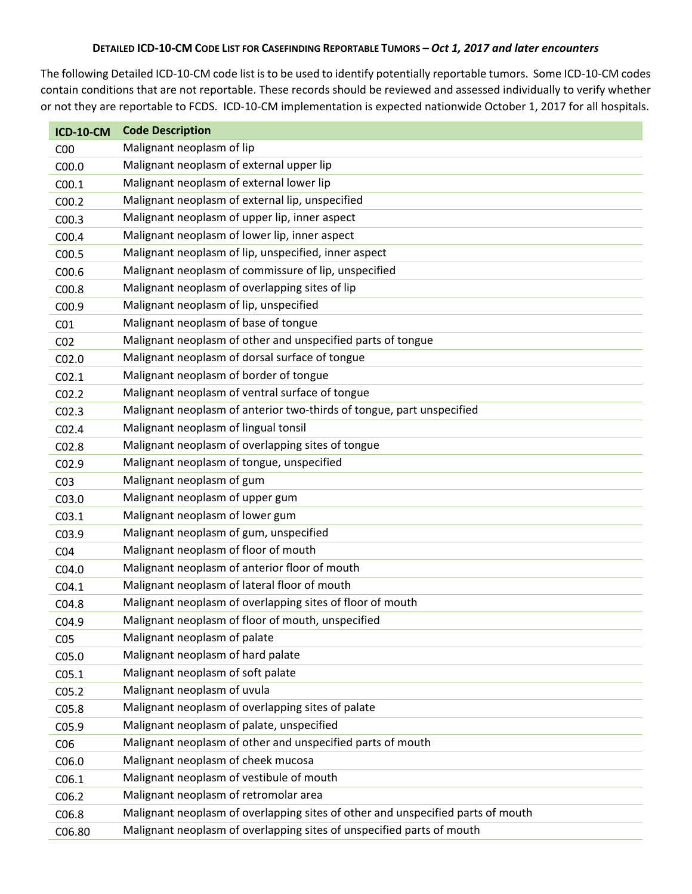## DETAILED ICD-10-CM CODE LIST FOR CASEFINDING REPORTABLE TUMORS - Oct 1, 2017 and later encounters

The following Detailed ICD‐10‐CM code list is to be used to identify potentially reportable tumors. Some ICD‐10‐CM codes contain conditions that are not reportable. These records should be reviewed and assessed individually to verify whether or not they are reportable to FCDS. ICD‐10‐CM implementation is expected nationwide October 1, 2017 for all hospitals.

| <b>ICD-10-CM</b>  | <b>Code Description</b>                                                         |
|-------------------|---------------------------------------------------------------------------------|
| C <sub>00</sub>   | Malignant neoplasm of lip                                                       |
| C <sub>00.0</sub> | Malignant neoplasm of external upper lip                                        |
| C <sub>00.1</sub> | Malignant neoplasm of external lower lip                                        |
| C <sub>00.2</sub> | Malignant neoplasm of external lip, unspecified                                 |
| CO <sub>0.3</sub> | Malignant neoplasm of upper lip, inner aspect                                   |
| COO.4             | Malignant neoplasm of lower lip, inner aspect                                   |
| C <sub>00.5</sub> | Malignant neoplasm of lip, unspecified, inner aspect                            |
| C <sub>00.6</sub> | Malignant neoplasm of commissure of lip, unspecified                            |
| C00.8             | Malignant neoplasm of overlapping sites of lip                                  |
| C00.9             | Malignant neoplasm of lip, unspecified                                          |
| CO <sub>1</sub>   | Malignant neoplasm of base of tongue                                            |
| CO <sub>2</sub>   | Malignant neoplasm of other and unspecified parts of tongue                     |
| CO <sub>2.0</sub> | Malignant neoplasm of dorsal surface of tongue                                  |
| CO <sub>2.1</sub> | Malignant neoplasm of border of tongue                                          |
| CO <sub>2.2</sub> | Malignant neoplasm of ventral surface of tongue                                 |
| CO <sub>2.3</sub> | Malignant neoplasm of anterior two-thirds of tongue, part unspecified           |
| CO <sub>2.4</sub> | Malignant neoplasm of lingual tonsil                                            |
| CO <sub>2.8</sub> | Malignant neoplasm of overlapping sites of tongue                               |
| C02.9             | Malignant neoplasm of tongue, unspecified                                       |
| CO <sub>3</sub>   | Malignant neoplasm of gum                                                       |
| C03.0             | Malignant neoplasm of upper gum                                                 |
| CO <sub>3.1</sub> | Malignant neoplasm of lower gum                                                 |
| C03.9             | Malignant neoplasm of gum, unspecified                                          |
| CO <sub>4</sub>   | Malignant neoplasm of floor of mouth                                            |
| CO4.0             | Malignant neoplasm of anterior floor of mouth                                   |
| CO4.1             | Malignant neoplasm of lateral floor of mouth                                    |
| C04.8             | Malignant neoplasm of overlapping sites of floor of mouth                       |
| C04.9             | Malignant neoplasm of floor of mouth, unspecified                               |
| CO <sub>5</sub>   | Malignant neoplasm of palate                                                    |
| C05.0             | Malignant neoplasm of hard palate                                               |
| C <sub>05.1</sub> | Malignant neoplasm of soft palate                                               |
| C05.2             | Malignant neoplasm of uvula                                                     |
| CO <sub>5.8</sub> | Malignant neoplasm of overlapping sites of palate                               |
| C <sub>05.9</sub> | Malignant neoplasm of palate, unspecified                                       |
| C <sub>06</sub>   | Malignant neoplasm of other and unspecified parts of mouth                      |
| C <sub>06.0</sub> | Malignant neoplasm of cheek mucosa                                              |
| C <sub>06.1</sub> | Malignant neoplasm of vestibule of mouth                                        |
| C <sub>06.2</sub> | Malignant neoplasm of retromolar area                                           |
| C06.8             | Malignant neoplasm of overlapping sites of other and unspecified parts of mouth |
| C06.80            | Malignant neoplasm of overlapping sites of unspecified parts of mouth           |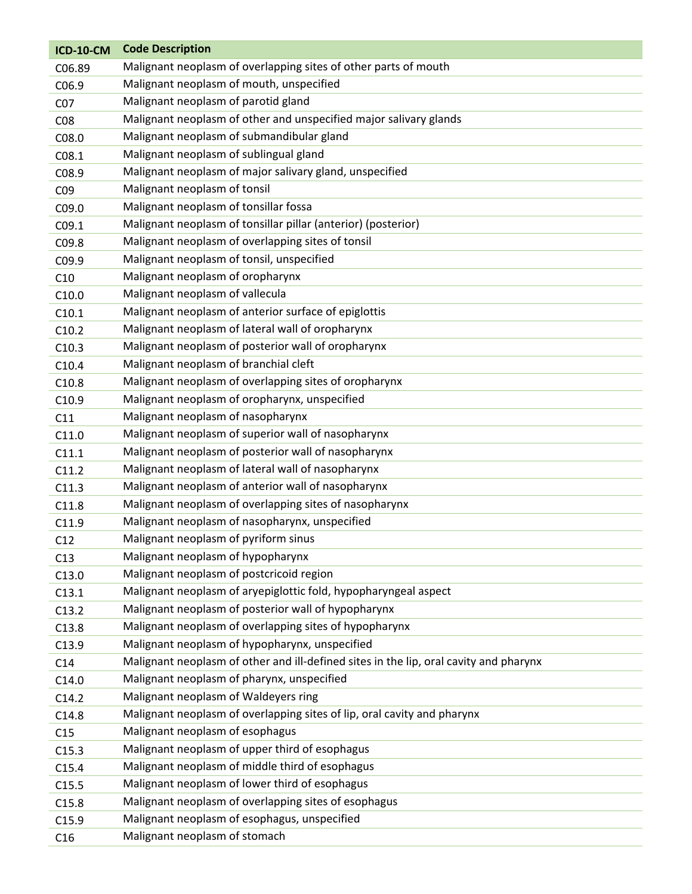| <b>ICD-10-CM</b>   | <b>Code Description</b>                                                               |
|--------------------|---------------------------------------------------------------------------------------|
| C <sub>06.89</sub> | Malignant neoplasm of overlapping sites of other parts of mouth                       |
| C06.9              | Malignant neoplasm of mouth, unspecified                                              |
| CO <sub>7</sub>    | Malignant neoplasm of parotid gland                                                   |
| CO8                | Malignant neoplasm of other and unspecified major salivary glands                     |
| C08.0              | Malignant neoplasm of submandibular gland                                             |
| CO8.1              | Malignant neoplasm of sublingual gland                                                |
| C08.9              | Malignant neoplasm of major salivary gland, unspecified                               |
| CO <sub>9</sub>    | Malignant neoplasm of tonsil                                                          |
| C09.0              | Malignant neoplasm of tonsillar fossa                                                 |
| CO9.1              | Malignant neoplasm of tonsillar pillar (anterior) (posterior)                         |
| C09.8              | Malignant neoplasm of overlapping sites of tonsil                                     |
| C09.9              | Malignant neoplasm of tonsil, unspecified                                             |
| C10                | Malignant neoplasm of oropharynx                                                      |
| C10.0              | Malignant neoplasm of vallecula                                                       |
| C10.1              | Malignant neoplasm of anterior surface of epiglottis                                  |
| C10.2              | Malignant neoplasm of lateral wall of oropharynx                                      |
| C10.3              | Malignant neoplasm of posterior wall of oropharynx                                    |
| C10.4              | Malignant neoplasm of branchial cleft                                                 |
| C10.8              | Malignant neoplasm of overlapping sites of oropharynx                                 |
| C10.9              | Malignant neoplasm of oropharynx, unspecified                                         |
| C11                | Malignant neoplasm of nasopharynx                                                     |
| C11.0              | Malignant neoplasm of superior wall of nasopharynx                                    |
| C11.1              | Malignant neoplasm of posterior wall of nasopharynx                                   |
| C11.2              | Malignant neoplasm of lateral wall of nasopharynx                                     |
| C11.3              | Malignant neoplasm of anterior wall of nasopharynx                                    |
| C11.8              | Malignant neoplasm of overlapping sites of nasopharynx                                |
| C11.9              | Malignant neoplasm of nasopharynx, unspecified                                        |
| C12                | Malignant neoplasm of pyriform sinus                                                  |
| C13                | Malignant neoplasm of hypopharynx                                                     |
| C13.0              | Malignant neoplasm of postcricoid region                                              |
| C13.1              | Malignant neoplasm of aryepiglottic fold, hypopharyngeal aspect                       |
| C13.2              | Malignant neoplasm of posterior wall of hypopharynx                                   |
| C13.8              | Malignant neoplasm of overlapping sites of hypopharynx                                |
| C13.9              | Malignant neoplasm of hypopharynx, unspecified                                        |
| C14                | Malignant neoplasm of other and ill-defined sites in the lip, oral cavity and pharynx |
| C14.0              | Malignant neoplasm of pharynx, unspecified                                            |
| C14.2              | Malignant neoplasm of Waldeyers ring                                                  |
| C14.8              | Malignant neoplasm of overlapping sites of lip, oral cavity and pharynx               |
| C15                | Malignant neoplasm of esophagus                                                       |
| C15.3              | Malignant neoplasm of upper third of esophagus                                        |
| C15.4              | Malignant neoplasm of middle third of esophagus                                       |
| C15.5              | Malignant neoplasm of lower third of esophagus                                        |
| C15.8              | Malignant neoplasm of overlapping sites of esophagus                                  |
| C15.9              | Malignant neoplasm of esophagus, unspecified                                          |
| C16                | Malignant neoplasm of stomach                                                         |
|                    |                                                                                       |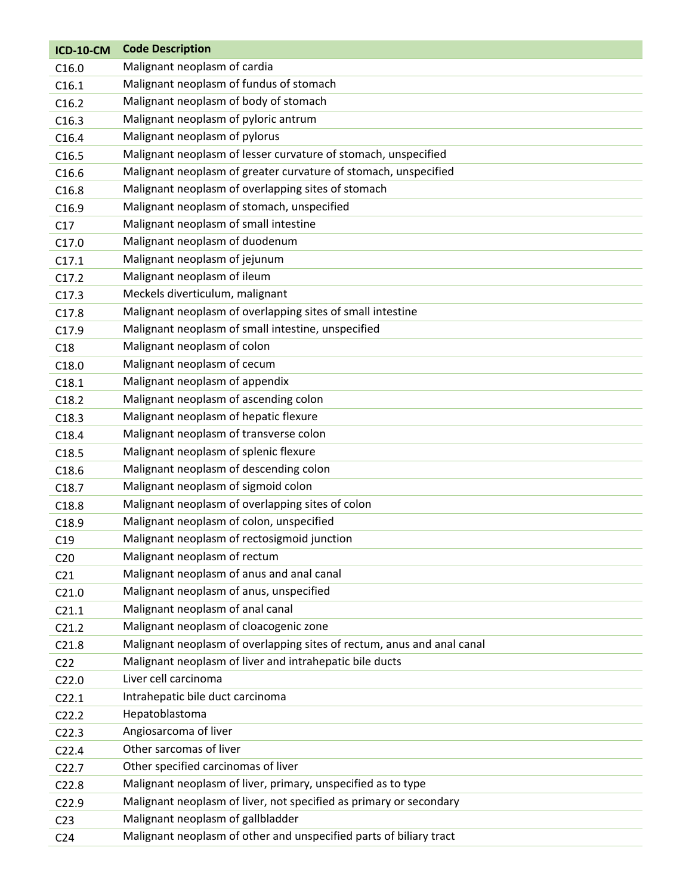| <b>ICD-10-CM</b>  | <b>Code Description</b>                                                |
|-------------------|------------------------------------------------------------------------|
| C16.0             | Malignant neoplasm of cardia                                           |
| C16.1             | Malignant neoplasm of fundus of stomach                                |
| C16.2             | Malignant neoplasm of body of stomach                                  |
| C16.3             | Malignant neoplasm of pyloric antrum                                   |
| C16.4             | Malignant neoplasm of pylorus                                          |
| C16.5             | Malignant neoplasm of lesser curvature of stomach, unspecified         |
| C16.6             | Malignant neoplasm of greater curvature of stomach, unspecified        |
| C16.8             | Malignant neoplasm of overlapping sites of stomach                     |
| C <sub>16.9</sub> | Malignant neoplasm of stomach, unspecified                             |
| C17               | Malignant neoplasm of small intestine                                  |
| C17.0             | Malignant neoplasm of duodenum                                         |
| C17.1             | Malignant neoplasm of jejunum                                          |
| C17.2             | Malignant neoplasm of ileum                                            |
| C17.3             | Meckels diverticulum, malignant                                        |
| C17.8             | Malignant neoplasm of overlapping sites of small intestine             |
| C17.9             | Malignant neoplasm of small intestine, unspecified                     |
| C18               | Malignant neoplasm of colon                                            |
| C18.0             | Malignant neoplasm of cecum                                            |
| C18.1             | Malignant neoplasm of appendix                                         |
| C18.2             | Malignant neoplasm of ascending colon                                  |
| C18.3             | Malignant neoplasm of hepatic flexure                                  |
| C18.4             | Malignant neoplasm of transverse colon                                 |
| C18.5             | Malignant neoplasm of splenic flexure                                  |
| C18.6             | Malignant neoplasm of descending colon                                 |
| C18.7             | Malignant neoplasm of sigmoid colon                                    |
| C18.8             | Malignant neoplasm of overlapping sites of colon                       |
| C18.9             | Malignant neoplasm of colon, unspecified                               |
| C19               | Malignant neoplasm of rectosigmoid junction                            |
| C <sub>20</sub>   | Malignant neoplasm of rectum                                           |
| C <sub>21</sub>   | Malignant neoplasm of anus and anal canal                              |
| C21.0             | Malignant neoplasm of anus, unspecified                                |
| C21.1             | Malignant neoplasm of anal canal                                       |
| C21.2             | Malignant neoplasm of cloacogenic zone                                 |
| C21.8             | Malignant neoplasm of overlapping sites of rectum, anus and anal canal |
| C <sub>22</sub>   | Malignant neoplasm of liver and intrahepatic bile ducts                |
| C <sub>22.0</sub> | Liver cell carcinoma                                                   |
| C22.1             | Intrahepatic bile duct carcinoma                                       |
| C22.2             | Hepatoblastoma                                                         |
| C <sub>22.3</sub> | Angiosarcoma of liver                                                  |
| C <sub>22.4</sub> | Other sarcomas of liver                                                |
| C22.7             | Other specified carcinomas of liver                                    |
| C22.8             | Malignant neoplasm of liver, primary, unspecified as to type           |
| C22.9             | Malignant neoplasm of liver, not specified as primary or secondary     |
| C <sub>23</sub>   | Malignant neoplasm of gallbladder                                      |
| C <sub>24</sub>   | Malignant neoplasm of other and unspecified parts of biliary tract     |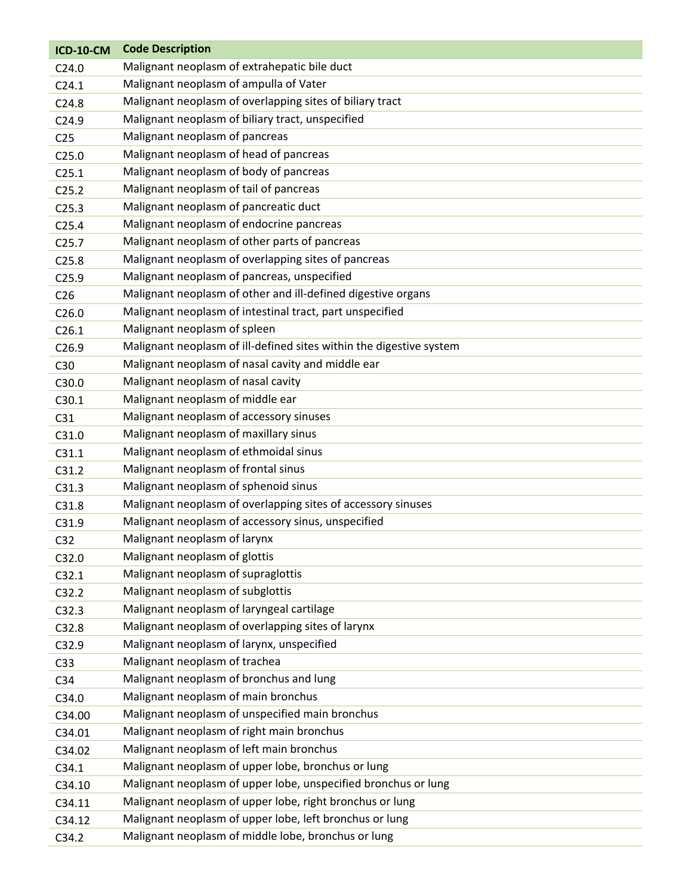| <b>ICD-10-CM</b>  | <b>Code Description</b>                                             |
|-------------------|---------------------------------------------------------------------|
| C <sub>24.0</sub> | Malignant neoplasm of extrahepatic bile duct                        |
| C <sub>24.1</sub> | Malignant neoplasm of ampulla of Vater                              |
| C <sub>24.8</sub> | Malignant neoplasm of overlapping sites of biliary tract            |
| C <sub>24.9</sub> | Malignant neoplasm of biliary tract, unspecified                    |
| C <sub>25</sub>   | Malignant neoplasm of pancreas                                      |
| C <sub>25.0</sub> | Malignant neoplasm of head of pancreas                              |
| C <sub>25.1</sub> | Malignant neoplasm of body of pancreas                              |
| C <sub>25.2</sub> | Malignant neoplasm of tail of pancreas                              |
| C <sub>25.3</sub> | Malignant neoplasm of pancreatic duct                               |
| C <sub>25.4</sub> | Malignant neoplasm of endocrine pancreas                            |
| C <sub>25.7</sub> | Malignant neoplasm of other parts of pancreas                       |
| C <sub>25.8</sub> | Malignant neoplasm of overlapping sites of pancreas                 |
| C <sub>25.9</sub> | Malignant neoplasm of pancreas, unspecified                         |
| C <sub>26</sub>   | Malignant neoplasm of other and ill-defined digestive organs        |
| C <sub>26.0</sub> | Malignant neoplasm of intestinal tract, part unspecified            |
| C26.1             | Malignant neoplasm of spleen                                        |
| C <sub>26.9</sub> | Malignant neoplasm of ill-defined sites within the digestive system |
| C30               | Malignant neoplasm of nasal cavity and middle ear                   |
| C30.0             | Malignant neoplasm of nasal cavity                                  |
| C30.1             | Malignant neoplasm of middle ear                                    |
| C31               | Malignant neoplasm of accessory sinuses                             |
| C31.0             | Malignant neoplasm of maxillary sinus                               |
| C31.1             | Malignant neoplasm of ethmoidal sinus                               |
| C31.2             | Malignant neoplasm of frontal sinus                                 |
| C31.3             | Malignant neoplasm of sphenoid sinus                                |
| C31.8             | Malignant neoplasm of overlapping sites of accessory sinuses        |
| C31.9             | Malignant neoplasm of accessory sinus, unspecified                  |
| C <sub>32</sub>   | Malignant neoplasm of larynx                                        |
| C32.0             | Malignant neoplasm of glottis                                       |
| C32.1             | Malignant neoplasm of supraglottis                                  |
| C32.2             | Malignant neoplasm of subglottis                                    |
| C32.3             | Malignant neoplasm of laryngeal cartilage                           |
| C32.8             | Malignant neoplasm of overlapping sites of larynx                   |
| C32.9             | Malignant neoplasm of larynx, unspecified                           |
| C <sub>33</sub>   | Malignant neoplasm of trachea                                       |
| C <sub>34</sub>   | Malignant neoplasm of bronchus and lung                             |
| C34.0             | Malignant neoplasm of main bronchus                                 |
| C34.00            | Malignant neoplasm of unspecified main bronchus                     |
| C34.01            | Malignant neoplasm of right main bronchus                           |
| C34.02            | Malignant neoplasm of left main bronchus                            |
| C34.1             | Malignant neoplasm of upper lobe, bronchus or lung                  |
| C34.10            | Malignant neoplasm of upper lobe, unspecified bronchus or lung      |
| C34.11            | Malignant neoplasm of upper lobe, right bronchus or lung            |
| C34.12            | Malignant neoplasm of upper lobe, left bronchus or lung             |
| C34.2             | Malignant neoplasm of middle lobe, bronchus or lung                 |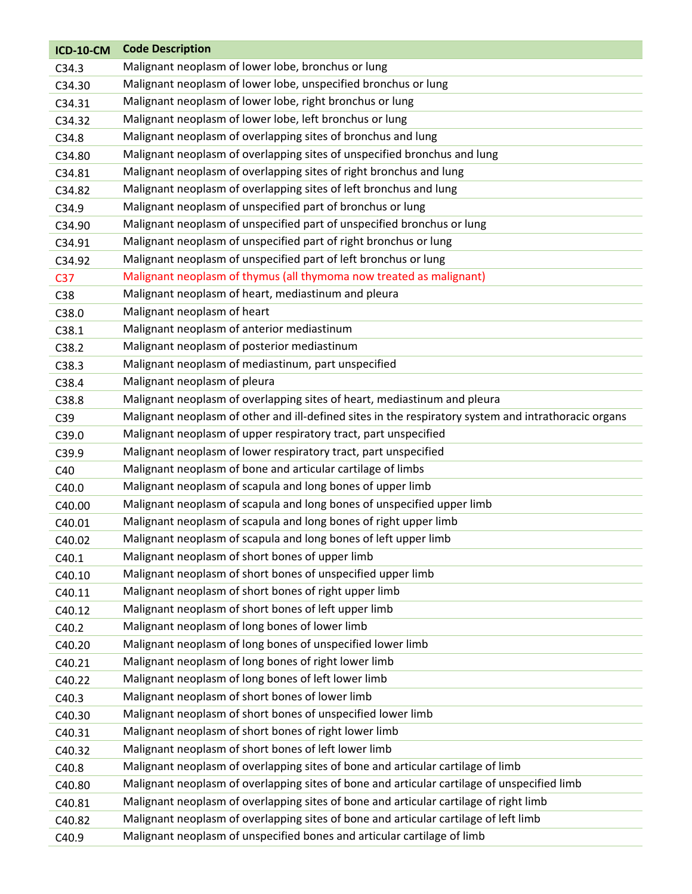| <b>ICD-10-CM</b> | <b>Code Description</b>                                                                              |
|------------------|------------------------------------------------------------------------------------------------------|
| C34.3            | Malignant neoplasm of lower lobe, bronchus or lung                                                   |
| C34.30           | Malignant neoplasm of lower lobe, unspecified bronchus or lung                                       |
| C34.31           | Malignant neoplasm of lower lobe, right bronchus or lung                                             |
| C34.32           | Malignant neoplasm of lower lobe, left bronchus or lung                                              |
| C34.8            | Malignant neoplasm of overlapping sites of bronchus and lung                                         |
| C34.80           | Malignant neoplasm of overlapping sites of unspecified bronchus and lung                             |
| C34.81           | Malignant neoplasm of overlapping sites of right bronchus and lung                                   |
| C34.82           | Malignant neoplasm of overlapping sites of left bronchus and lung                                    |
| C34.9            | Malignant neoplasm of unspecified part of bronchus or lung                                           |
| C34.90           | Malignant neoplasm of unspecified part of unspecified bronchus or lung                               |
| C34.91           | Malignant neoplasm of unspecified part of right bronchus or lung                                     |
| C34.92           | Malignant neoplasm of unspecified part of left bronchus or lung                                      |
| C <sub>37</sub>  | Malignant neoplasm of thymus (all thymoma now treated as malignant)                                  |
| C38              | Malignant neoplasm of heart, mediastinum and pleura                                                  |
| C38.0            | Malignant neoplasm of heart                                                                          |
| C38.1            | Malignant neoplasm of anterior mediastinum                                                           |
| C38.2            | Malignant neoplasm of posterior mediastinum                                                          |
| C38.3            | Malignant neoplasm of mediastinum, part unspecified                                                  |
| C38.4            | Malignant neoplasm of pleura                                                                         |
| C38.8            | Malignant neoplasm of overlapping sites of heart, mediastinum and pleura                             |
| C39              | Malignant neoplasm of other and ill-defined sites in the respiratory system and intrathoracic organs |
| C39.0            | Malignant neoplasm of upper respiratory tract, part unspecified                                      |
| C39.9            | Malignant neoplasm of lower respiratory tract, part unspecified                                      |
| C40              | Malignant neoplasm of bone and articular cartilage of limbs                                          |
| C40.0            | Malignant neoplasm of scapula and long bones of upper limb                                           |
| C40.00           | Malignant neoplasm of scapula and long bones of unspecified upper limb                               |
| C40.01           | Malignant neoplasm of scapula and long bones of right upper limb                                     |
| C40.02           | Malignant neoplasm of scapula and long bones of left upper limb                                      |
| C40.1            | Malignant neoplasm of short bones of upper limb                                                      |
| C40.10           | Malignant neoplasm of short bones of unspecified upper limb                                          |
| C40.11           | Malignant neoplasm of short bones of right upper limb                                                |
| C40.12           | Malignant neoplasm of short bones of left upper limb                                                 |
| C40.2            | Malignant neoplasm of long bones of lower limb                                                       |
| C40.20           | Malignant neoplasm of long bones of unspecified lower limb                                           |
| C40.21           | Malignant neoplasm of long bones of right lower limb                                                 |
| C40.22           | Malignant neoplasm of long bones of left lower limb                                                  |
| C40.3            | Malignant neoplasm of short bones of lower limb                                                      |
| C40.30           | Malignant neoplasm of short bones of unspecified lower limb                                          |
| C40.31           | Malignant neoplasm of short bones of right lower limb                                                |
| C40.32           | Malignant neoplasm of short bones of left lower limb                                                 |
| C40.8            | Malignant neoplasm of overlapping sites of bone and articular cartilage of limb                      |
| C40.80           | Malignant neoplasm of overlapping sites of bone and articular cartilage of unspecified limb          |
| C40.81           | Malignant neoplasm of overlapping sites of bone and articular cartilage of right limb                |
| C40.82           | Malignant neoplasm of overlapping sites of bone and articular cartilage of left limb                 |
| C40.9            | Malignant neoplasm of unspecified bones and articular cartilage of limb                              |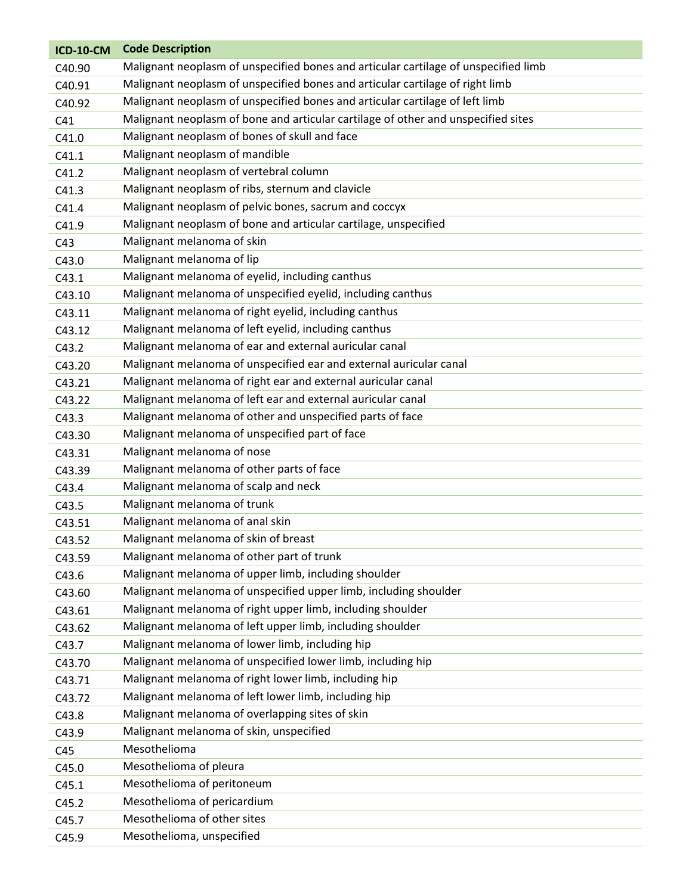| <b>ICD-10-CM</b> | <b>Code Description</b>                                                             |
|------------------|-------------------------------------------------------------------------------------|
| C40.90           | Malignant neoplasm of unspecified bones and articular cartilage of unspecified limb |
| C40.91           | Malignant neoplasm of unspecified bones and articular cartilage of right limb       |
| C40.92           | Malignant neoplasm of unspecified bones and articular cartilage of left limb        |
| C41              | Malignant neoplasm of bone and articular cartilage of other and unspecified sites   |
| C41.0            | Malignant neoplasm of bones of skull and face                                       |
| C41.1            | Malignant neoplasm of mandible                                                      |
| C41.2            | Malignant neoplasm of vertebral column                                              |
| C41.3            | Malignant neoplasm of ribs, sternum and clavicle                                    |
| C41.4            | Malignant neoplasm of pelvic bones, sacrum and coccyx                               |
| C41.9            | Malignant neoplasm of bone and articular cartilage, unspecified                     |
| C43              | Malignant melanoma of skin                                                          |
| C43.0            | Malignant melanoma of lip                                                           |
| C43.1            | Malignant melanoma of eyelid, including canthus                                     |
| C43.10           | Malignant melanoma of unspecified eyelid, including canthus                         |
| C43.11           | Malignant melanoma of right eyelid, including canthus                               |
| C43.12           | Malignant melanoma of left eyelid, including canthus                                |
| C43.2            | Malignant melanoma of ear and external auricular canal                              |
| C43.20           | Malignant melanoma of unspecified ear and external auricular canal                  |
| C43.21           | Malignant melanoma of right ear and external auricular canal                        |
| C43.22           | Malignant melanoma of left ear and external auricular canal                         |
| C43.3            | Malignant melanoma of other and unspecified parts of face                           |
| C43.30           | Malignant melanoma of unspecified part of face                                      |
| C43.31           | Malignant melanoma of nose                                                          |
| C43.39           | Malignant melanoma of other parts of face                                           |
| C43.4            | Malignant melanoma of scalp and neck                                                |
| C43.5            | Malignant melanoma of trunk                                                         |
| C43.51           | Malignant melanoma of anal skin                                                     |
| C43.52           | Malignant melanoma of skin of breast                                                |
| C43.59           | Malignant melanoma of other part of trunk                                           |
| C43.6            | Malignant melanoma of upper limb, including shoulder                                |
| C43.60           | Malignant melanoma of unspecified upper limb, including shoulder                    |
| C43.61           | Malignant melanoma of right upper limb, including shoulder                          |
| C43.62           | Malignant melanoma of left upper limb, including shoulder                           |
| C43.7            | Malignant melanoma of lower limb, including hip                                     |
| C43.70           | Malignant melanoma of unspecified lower limb, including hip                         |
| C43.71           | Malignant melanoma of right lower limb, including hip                               |
| C43.72           | Malignant melanoma of left lower limb, including hip                                |
| C43.8            | Malignant melanoma of overlapping sites of skin                                     |
| C43.9            | Malignant melanoma of skin, unspecified                                             |
| C45              | Mesothelioma                                                                        |
| C45.0            | Mesothelioma of pleura                                                              |
| C45.1            | Mesothelioma of peritoneum                                                          |
| C45.2            | Mesothelioma of pericardium                                                         |
| C45.7            | Mesothelioma of other sites                                                         |
| C45.9            | Mesothelioma, unspecified                                                           |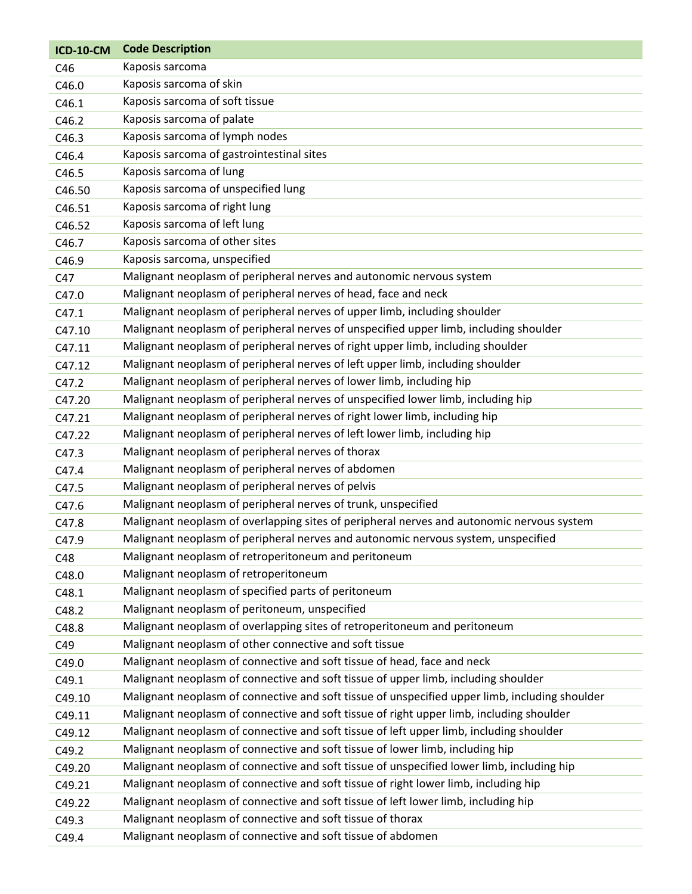| <b>ICD-10-CM</b> | <b>Code Description</b>                                                                        |
|------------------|------------------------------------------------------------------------------------------------|
| C46              | Kaposis sarcoma                                                                                |
| C46.0            | Kaposis sarcoma of skin                                                                        |
| C46.1            | Kaposis sarcoma of soft tissue                                                                 |
| C46.2            | Kaposis sarcoma of palate                                                                      |
| C46.3            | Kaposis sarcoma of lymph nodes                                                                 |
| C46.4            | Kaposis sarcoma of gastrointestinal sites                                                      |
| C46.5            | Kaposis sarcoma of lung                                                                        |
| C46.50           | Kaposis sarcoma of unspecified lung                                                            |
| C46.51           | Kaposis sarcoma of right lung                                                                  |
| C46.52           | Kaposis sarcoma of left lung                                                                   |
| C46.7            | Kaposis sarcoma of other sites                                                                 |
| C46.9            | Kaposis sarcoma, unspecified                                                                   |
| C47              | Malignant neoplasm of peripheral nerves and autonomic nervous system                           |
| C47.0            | Malignant neoplasm of peripheral nerves of head, face and neck                                 |
| C47.1            | Malignant neoplasm of peripheral nerves of upper limb, including shoulder                      |
| C47.10           | Malignant neoplasm of peripheral nerves of unspecified upper limb, including shoulder          |
| C47.11           | Malignant neoplasm of peripheral nerves of right upper limb, including shoulder                |
| C47.12           | Malignant neoplasm of peripheral nerves of left upper limb, including shoulder                 |
| C47.2            | Malignant neoplasm of peripheral nerves of lower limb, including hip                           |
| C47.20           | Malignant neoplasm of peripheral nerves of unspecified lower limb, including hip               |
| C47.21           | Malignant neoplasm of peripheral nerves of right lower limb, including hip                     |
| C47.22           | Malignant neoplasm of peripheral nerves of left lower limb, including hip                      |
| C47.3            | Malignant neoplasm of peripheral nerves of thorax                                              |
| C47.4            | Malignant neoplasm of peripheral nerves of abdomen                                             |
| C47.5            | Malignant neoplasm of peripheral nerves of pelvis                                              |
| C47.6            | Malignant neoplasm of peripheral nerves of trunk, unspecified                                  |
| C47.8            | Malignant neoplasm of overlapping sites of peripheral nerves and autonomic nervous system      |
| C47.9            | Malignant neoplasm of peripheral nerves and autonomic nervous system, unspecified              |
| C48              | Malignant neoplasm of retroperitoneum and peritoneum                                           |
| C48.0            | Malignant neoplasm of retroperitoneum                                                          |
| C48.1            | Malignant neoplasm of specified parts of peritoneum                                            |
| C48.2            | Malignant neoplasm of peritoneum, unspecified                                                  |
| C48.8            | Malignant neoplasm of overlapping sites of retroperitoneum and peritoneum                      |
| C49              | Malignant neoplasm of other connective and soft tissue                                         |
| C49.0            | Malignant neoplasm of connective and soft tissue of head, face and neck                        |
| C49.1            | Malignant neoplasm of connective and soft tissue of upper limb, including shoulder             |
| C49.10           | Malignant neoplasm of connective and soft tissue of unspecified upper limb, including shoulder |
| C49.11           | Malignant neoplasm of connective and soft tissue of right upper limb, including shoulder       |
| C49.12           | Malignant neoplasm of connective and soft tissue of left upper limb, including shoulder        |
| C49.2            | Malignant neoplasm of connective and soft tissue of lower limb, including hip                  |
| C49.20           | Malignant neoplasm of connective and soft tissue of unspecified lower limb, including hip      |
| C49.21           | Malignant neoplasm of connective and soft tissue of right lower limb, including hip            |
| C49.22           | Malignant neoplasm of connective and soft tissue of left lower limb, including hip             |
| C49.3            | Malignant neoplasm of connective and soft tissue of thorax                                     |
| C49.4            | Malignant neoplasm of connective and soft tissue of abdomen                                    |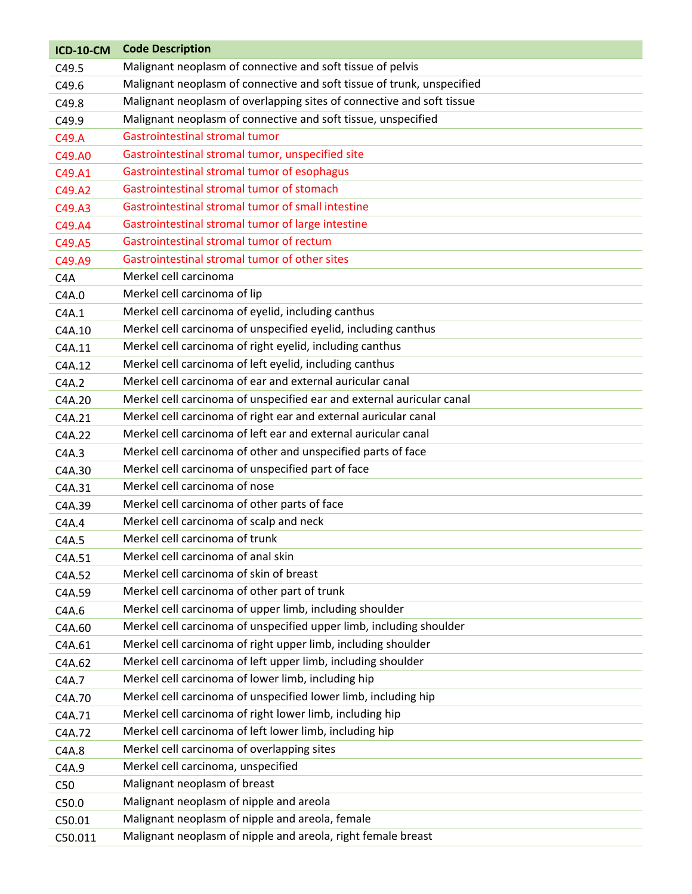| <b>ICD-10-CM</b> | <b>Code Description</b>                                                |
|------------------|------------------------------------------------------------------------|
| C49.5            | Malignant neoplasm of connective and soft tissue of pelvis             |
| C49.6            | Malignant neoplasm of connective and soft tissue of trunk, unspecified |
| C49.8            | Malignant neoplasm of overlapping sites of connective and soft tissue  |
| C49.9            | Malignant neoplasm of connective and soft tissue, unspecified          |
| C49.A            | Gastrointestinal stromal tumor                                         |
| C49.A0           | Gastrointestinal stromal tumor, unspecified site                       |
| C49.A1           | Gastrointestinal stromal tumor of esophagus                            |
| C49.A2           | Gastrointestinal stromal tumor of stomach                              |
| C49.A3           | Gastrointestinal stromal tumor of small intestine                      |
| C49.A4           | Gastrointestinal stromal tumor of large intestine                      |
| C49.A5           | Gastrointestinal stromal tumor of rectum                               |
| C49.A9           | Gastrointestinal stromal tumor of other sites                          |
| C <sub>4</sub> A | Merkel cell carcinoma                                                  |
| C4A.0            | Merkel cell carcinoma of lip                                           |
| C4A.1            | Merkel cell carcinoma of eyelid, including canthus                     |
| C4A.10           | Merkel cell carcinoma of unspecified eyelid, including canthus         |
| C4A.11           | Merkel cell carcinoma of right eyelid, including canthus               |
| C4A.12           | Merkel cell carcinoma of left eyelid, including canthus                |
| C4A.2            | Merkel cell carcinoma of ear and external auricular canal              |
| C4A.20           | Merkel cell carcinoma of unspecified ear and external auricular canal  |
| C4A.21           | Merkel cell carcinoma of right ear and external auricular canal        |
| C4A.22           | Merkel cell carcinoma of left ear and external auricular canal         |
| C4A.3            | Merkel cell carcinoma of other and unspecified parts of face           |
| C4A.30           | Merkel cell carcinoma of unspecified part of face                      |
| C4A.31           | Merkel cell carcinoma of nose                                          |
| C4A.39           | Merkel cell carcinoma of other parts of face                           |
| C4A.4            | Merkel cell carcinoma of scalp and neck                                |
| C4A.5            | Merkel cell carcinoma of trunk                                         |
| C4A.51           | Merkel cell carcinoma of anal skin                                     |
| C4A.52           | Merkel cell carcinoma of skin of breast                                |
| C4A.59           | Merkel cell carcinoma of other part of trunk                           |
| C4A.6            | Merkel cell carcinoma of upper limb, including shoulder                |
| C4A.60           | Merkel cell carcinoma of unspecified upper limb, including shoulder    |
| C4A.61           | Merkel cell carcinoma of right upper limb, including shoulder          |
| C4A.62           | Merkel cell carcinoma of left upper limb, including shoulder           |
| C4A.7            | Merkel cell carcinoma of lower limb, including hip                     |
| C4A.70           | Merkel cell carcinoma of unspecified lower limb, including hip         |
| C4A.71           | Merkel cell carcinoma of right lower limb, including hip               |
| C4A.72           | Merkel cell carcinoma of left lower limb, including hip                |
| C4A.8            | Merkel cell carcinoma of overlapping sites                             |
| C4A.9            | Merkel cell carcinoma, unspecified                                     |
| C50              | Malignant neoplasm of breast                                           |
| C50.0            | Malignant neoplasm of nipple and areola                                |
| C50.01           | Malignant neoplasm of nipple and areola, female                        |
| C50.011          | Malignant neoplasm of nipple and areola, right female breast           |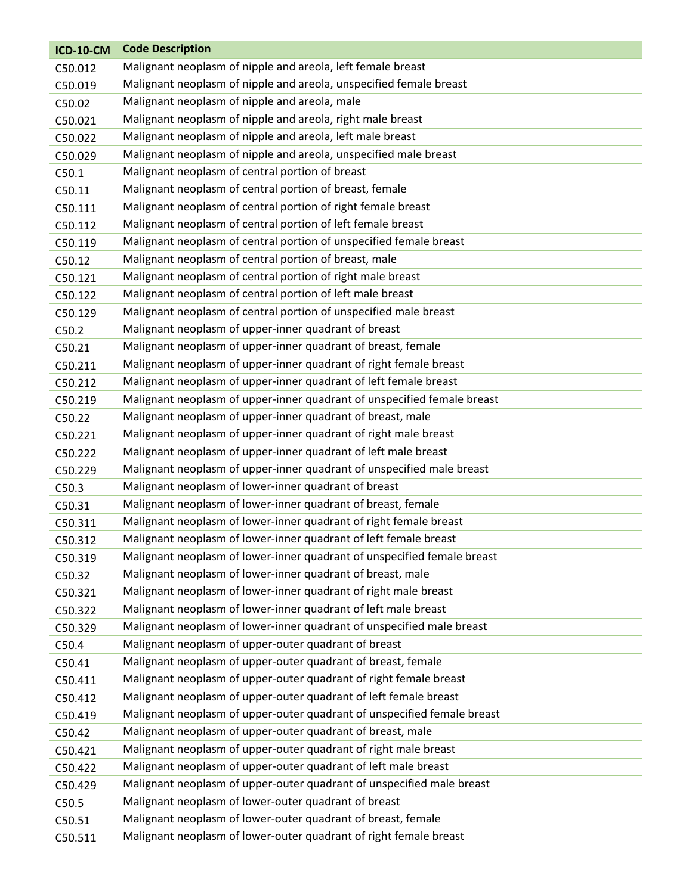| <b>ICD-10-CM</b> | <b>Code Description</b>                                                 |
|------------------|-------------------------------------------------------------------------|
| C50.012          | Malignant neoplasm of nipple and areola, left female breast             |
| C50.019          | Malignant neoplasm of nipple and areola, unspecified female breast      |
| C50.02           | Malignant neoplasm of nipple and areola, male                           |
| C50.021          | Malignant neoplasm of nipple and areola, right male breast              |
| C50.022          | Malignant neoplasm of nipple and areola, left male breast               |
| C50.029          | Malignant neoplasm of nipple and areola, unspecified male breast        |
| C50.1            | Malignant neoplasm of central portion of breast                         |
| C50.11           | Malignant neoplasm of central portion of breast, female                 |
| C50.111          | Malignant neoplasm of central portion of right female breast            |
| C50.112          | Malignant neoplasm of central portion of left female breast             |
| C50.119          | Malignant neoplasm of central portion of unspecified female breast      |
| C50.12           | Malignant neoplasm of central portion of breast, male                   |
| C50.121          | Malignant neoplasm of central portion of right male breast              |
| C50.122          | Malignant neoplasm of central portion of left male breast               |
| C50.129          | Malignant neoplasm of central portion of unspecified male breast        |
| C50.2            | Malignant neoplasm of upper-inner quadrant of breast                    |
| C50.21           | Malignant neoplasm of upper-inner quadrant of breast, female            |
| C50.211          | Malignant neoplasm of upper-inner quadrant of right female breast       |
| C50.212          | Malignant neoplasm of upper-inner quadrant of left female breast        |
| C50.219          | Malignant neoplasm of upper-inner quadrant of unspecified female breast |
| C50.22           | Malignant neoplasm of upper-inner quadrant of breast, male              |
| C50.221          | Malignant neoplasm of upper-inner quadrant of right male breast         |
| C50.222          | Malignant neoplasm of upper-inner quadrant of left male breast          |
| C50.229          | Malignant neoplasm of upper-inner quadrant of unspecified male breast   |
| C50.3            | Malignant neoplasm of lower-inner quadrant of breast                    |
| C50.31           | Malignant neoplasm of lower-inner quadrant of breast, female            |
| C50.311          | Malignant neoplasm of lower-inner quadrant of right female breast       |
| C50.312          | Malignant neoplasm of lower-inner quadrant of left female breast        |
| C50.319          | Malignant neoplasm of lower-inner quadrant of unspecified female breast |
| C50.32           | Malignant neoplasm of lower-inner quadrant of breast, male              |
| C50.321          | Malignant neoplasm of lower-inner quadrant of right male breast         |
| C50.322          | Malignant neoplasm of lower-inner quadrant of left male breast          |
| C50.329          | Malignant neoplasm of lower-inner quadrant of unspecified male breast   |
| C50.4            | Malignant neoplasm of upper-outer quadrant of breast                    |
| C50.41           | Malignant neoplasm of upper-outer quadrant of breast, female            |
| C50.411          | Malignant neoplasm of upper-outer quadrant of right female breast       |
| C50.412          | Malignant neoplasm of upper-outer quadrant of left female breast        |
| C50.419          | Malignant neoplasm of upper-outer quadrant of unspecified female breast |
| C50.42           | Malignant neoplasm of upper-outer quadrant of breast, male              |
| C50.421          | Malignant neoplasm of upper-outer quadrant of right male breast         |
| C50.422          | Malignant neoplasm of upper-outer quadrant of left male breast          |
| C50.429          | Malignant neoplasm of upper-outer quadrant of unspecified male breast   |
| C50.5            | Malignant neoplasm of lower-outer quadrant of breast                    |
| C50.51           | Malignant neoplasm of lower-outer quadrant of breast, female            |
| C50.511          | Malignant neoplasm of lower-outer quadrant of right female breast       |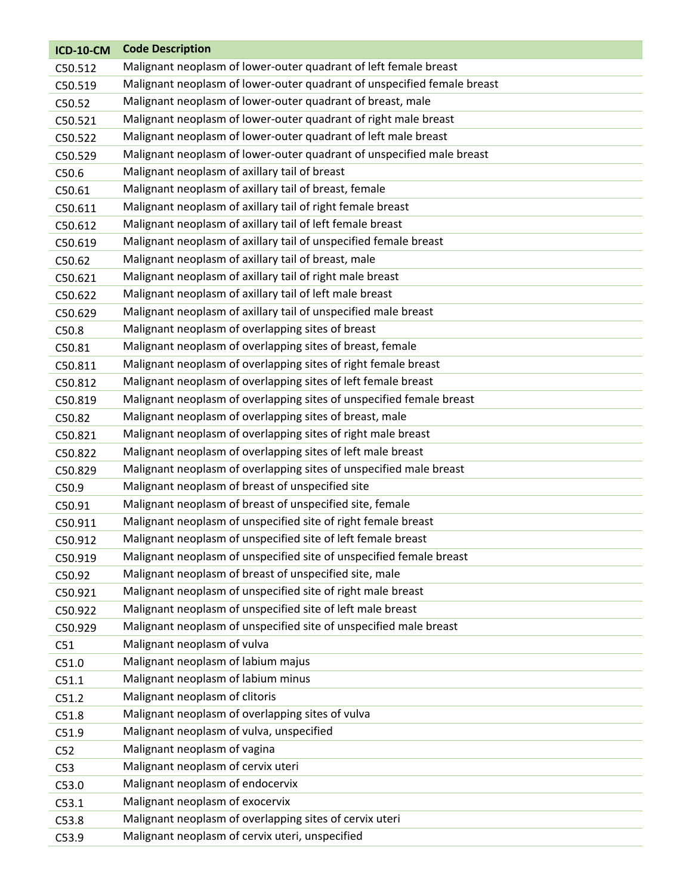| <b>ICD-10-CM</b> | <b>Code Description</b>                                                 |
|------------------|-------------------------------------------------------------------------|
| C50.512          | Malignant neoplasm of lower-outer quadrant of left female breast        |
| C50.519          | Malignant neoplasm of lower-outer quadrant of unspecified female breast |
| C50.52           | Malignant neoplasm of lower-outer quadrant of breast, male              |
| C50.521          | Malignant neoplasm of lower-outer quadrant of right male breast         |
| C50.522          | Malignant neoplasm of lower-outer quadrant of left male breast          |
| C50.529          | Malignant neoplasm of lower-outer quadrant of unspecified male breast   |
| C50.6            | Malignant neoplasm of axillary tail of breast                           |
| C50.61           | Malignant neoplasm of axillary tail of breast, female                   |
| C50.611          | Malignant neoplasm of axillary tail of right female breast              |
| C50.612          | Malignant neoplasm of axillary tail of left female breast               |
| C50.619          | Malignant neoplasm of axillary tail of unspecified female breast        |
| C50.62           | Malignant neoplasm of axillary tail of breast, male                     |
| C50.621          | Malignant neoplasm of axillary tail of right male breast                |
| C50.622          | Malignant neoplasm of axillary tail of left male breast                 |
| C50.629          | Malignant neoplasm of axillary tail of unspecified male breast          |
| C50.8            | Malignant neoplasm of overlapping sites of breast                       |
| C50.81           | Malignant neoplasm of overlapping sites of breast, female               |
| C50.811          | Malignant neoplasm of overlapping sites of right female breast          |
| C50.812          | Malignant neoplasm of overlapping sites of left female breast           |
| C50.819          | Malignant neoplasm of overlapping sites of unspecified female breast    |
| C50.82           | Malignant neoplasm of overlapping sites of breast, male                 |
| C50.821          | Malignant neoplasm of overlapping sites of right male breast            |
| C50.822          | Malignant neoplasm of overlapping sites of left male breast             |
| C50.829          | Malignant neoplasm of overlapping sites of unspecified male breast      |
| C50.9            | Malignant neoplasm of breast of unspecified site                        |
| C50.91           | Malignant neoplasm of breast of unspecified site, female                |
| C50.911          | Malignant neoplasm of unspecified site of right female breast           |
| C50.912          | Malignant neoplasm of unspecified site of left female breast            |
| C50.919          | Malignant neoplasm of unspecified site of unspecified female breast     |
| C50.92           | Malignant neoplasm of breast of unspecified site, male                  |
| C50.921          | Malignant neoplasm of unspecified site of right male breast             |
| C50.922          | Malignant neoplasm of unspecified site of left male breast              |
| C50.929          | Malignant neoplasm of unspecified site of unspecified male breast       |
| C51              | Malignant neoplasm of vulva                                             |
| C51.0            | Malignant neoplasm of labium majus                                      |
| C51.1            | Malignant neoplasm of labium minus                                      |
| C51.2            | Malignant neoplasm of clitoris                                          |
| C51.8            | Malignant neoplasm of overlapping sites of vulva                        |
| C51.9            | Malignant neoplasm of vulva, unspecified                                |
| C52              | Malignant neoplasm of vagina                                            |
| C53              | Malignant neoplasm of cervix uteri                                      |
| C53.0            | Malignant neoplasm of endocervix                                        |
| C53.1            | Malignant neoplasm of exocervix                                         |
| C53.8            | Malignant neoplasm of overlapping sites of cervix uteri                 |
| C53.9            | Malignant neoplasm of cervix uteri, unspecified                         |
|                  |                                                                         |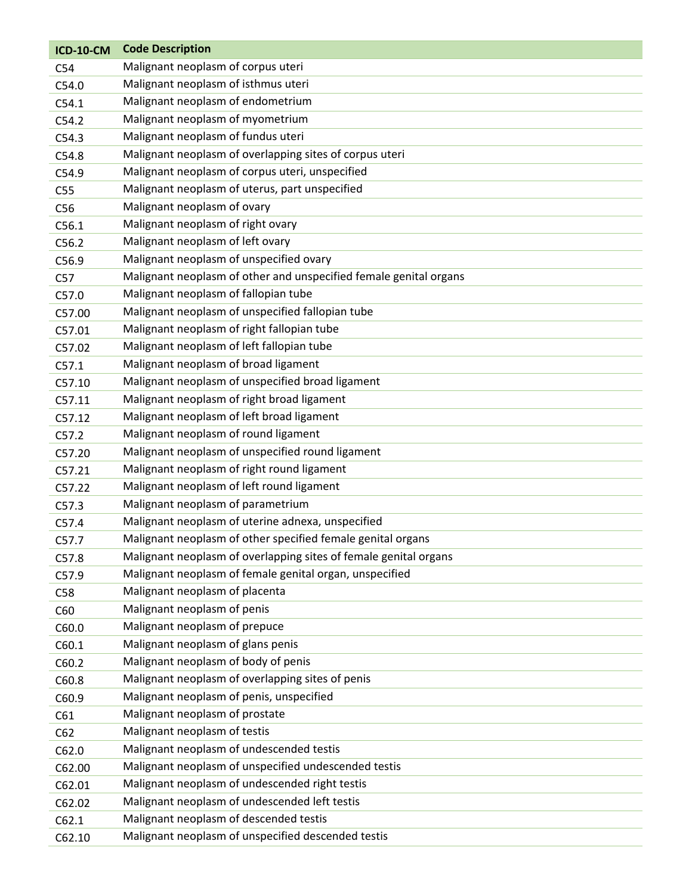| <b>ICD-10-CM</b> | <b>Code Description</b>                                           |
|------------------|-------------------------------------------------------------------|
| C54              | Malignant neoplasm of corpus uteri                                |
| C54.0            | Malignant neoplasm of isthmus uteri                               |
| C54.1            | Malignant neoplasm of endometrium                                 |
| C54.2            | Malignant neoplasm of myometrium                                  |
| C54.3            | Malignant neoplasm of fundus uteri                                |
| C54.8            | Malignant neoplasm of overlapping sites of corpus uteri           |
| C54.9            | Malignant neoplasm of corpus uteri, unspecified                   |
| C <sub>55</sub>  | Malignant neoplasm of uterus, part unspecified                    |
| C56              | Malignant neoplasm of ovary                                       |
| C56.1            | Malignant neoplasm of right ovary                                 |
| C56.2            | Malignant neoplasm of left ovary                                  |
| C56.9            | Malignant neoplasm of unspecified ovary                           |
| C57              | Malignant neoplasm of other and unspecified female genital organs |
| C57.0            | Malignant neoplasm of fallopian tube                              |
| C57.00           | Malignant neoplasm of unspecified fallopian tube                  |
| C57.01           | Malignant neoplasm of right fallopian tube                        |
| C57.02           | Malignant neoplasm of left fallopian tube                         |
| C57.1            | Malignant neoplasm of broad ligament                              |
| C57.10           | Malignant neoplasm of unspecified broad ligament                  |
| C57.11           | Malignant neoplasm of right broad ligament                        |
| C57.12           | Malignant neoplasm of left broad ligament                         |
| C57.2            | Malignant neoplasm of round ligament                              |
| C57.20           | Malignant neoplasm of unspecified round ligament                  |
| C57.21           | Malignant neoplasm of right round ligament                        |
| C57.22           | Malignant neoplasm of left round ligament                         |
| C57.3            | Malignant neoplasm of parametrium                                 |
| C57.4            | Malignant neoplasm of uterine adnexa, unspecified                 |
| C57.7            | Malignant neoplasm of other specified female genital organs       |
| C57.8            | Malignant neoplasm of overlapping sites of female genital organs  |
| C57.9            | Malignant neoplasm of female genital organ, unspecified           |
| C58              | Malignant neoplasm of placenta                                    |
| C60              | Malignant neoplasm of penis                                       |
| C60.0            | Malignant neoplasm of prepuce                                     |
| C60.1            | Malignant neoplasm of glans penis                                 |
| C60.2            | Malignant neoplasm of body of penis                               |
| C60.8            | Malignant neoplasm of overlapping sites of penis                  |
| C60.9            | Malignant neoplasm of penis, unspecified                          |
| C61              | Malignant neoplasm of prostate                                    |
| C62              | Malignant neoplasm of testis                                      |
| C62.0            | Malignant neoplasm of undescended testis                          |
| C62.00           | Malignant neoplasm of unspecified undescended testis              |
| C62.01           | Malignant neoplasm of undescended right testis                    |
| C62.02           | Malignant neoplasm of undescended left testis                     |
| C62.1            | Malignant neoplasm of descended testis                            |
| C62.10           | Malignant neoplasm of unspecified descended testis                |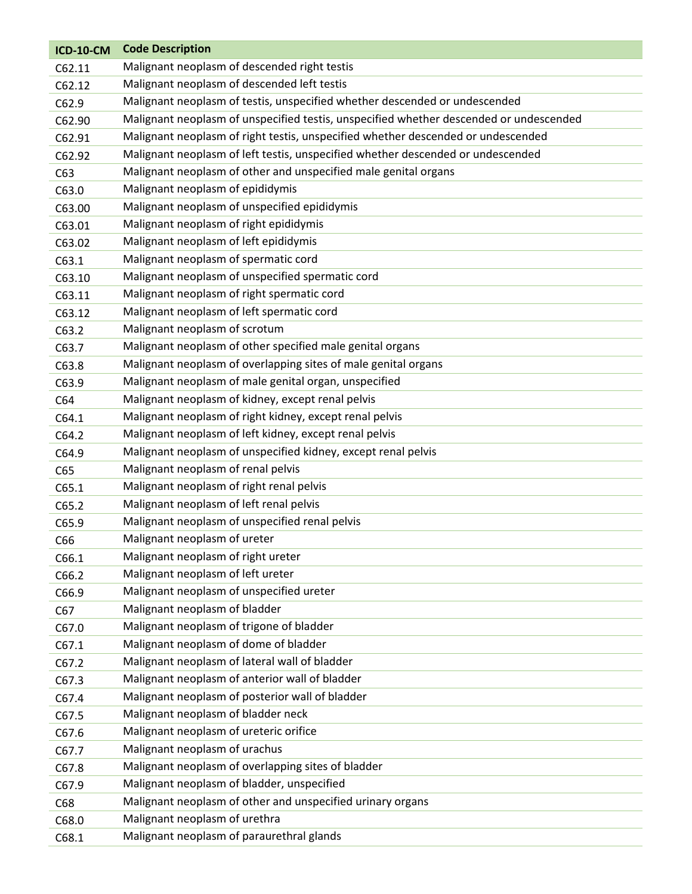| <b>ICD-10-CM</b> | <b>Code Description</b>                                                                |
|------------------|----------------------------------------------------------------------------------------|
| C62.11           | Malignant neoplasm of descended right testis                                           |
| C62.12           | Malignant neoplasm of descended left testis                                            |
| C62.9            | Malignant neoplasm of testis, unspecified whether descended or undescended             |
| C62.90           | Malignant neoplasm of unspecified testis, unspecified whether descended or undescended |
| C62.91           | Malignant neoplasm of right testis, unspecified whether descended or undescended       |
| C62.92           | Malignant neoplasm of left testis, unspecified whether descended or undescended        |
| C63              | Malignant neoplasm of other and unspecified male genital organs                        |
| C63.0            | Malignant neoplasm of epididymis                                                       |
| C63.00           | Malignant neoplasm of unspecified epididymis                                           |
| C63.01           | Malignant neoplasm of right epididymis                                                 |
| C63.02           | Malignant neoplasm of left epididymis                                                  |
| C63.1            | Malignant neoplasm of spermatic cord                                                   |
| C63.10           | Malignant neoplasm of unspecified spermatic cord                                       |
| C63.11           | Malignant neoplasm of right spermatic cord                                             |
| C63.12           | Malignant neoplasm of left spermatic cord                                              |
| C63.2            | Malignant neoplasm of scrotum                                                          |
| C63.7            | Malignant neoplasm of other specified male genital organs                              |
| C63.8            | Malignant neoplasm of overlapping sites of male genital organs                         |
| C63.9            | Malignant neoplasm of male genital organ, unspecified                                  |
| C64              | Malignant neoplasm of kidney, except renal pelvis                                      |
| C64.1            | Malignant neoplasm of right kidney, except renal pelvis                                |
| C64.2            | Malignant neoplasm of left kidney, except renal pelvis                                 |
| C64.9            | Malignant neoplasm of unspecified kidney, except renal pelvis                          |
| C65              | Malignant neoplasm of renal pelvis                                                     |
| C65.1            | Malignant neoplasm of right renal pelvis                                               |
| C65.2            | Malignant neoplasm of left renal pelvis                                                |
| C65.9            | Malignant neoplasm of unspecified renal pelvis                                         |
| C66              | Malignant neoplasm of ureter                                                           |
| C66.1            | Malignant neoplasm of right ureter                                                     |
| C66.2            | Malignant neoplasm of left ureter                                                      |
| C66.9            | Malignant neoplasm of unspecified ureter                                               |
| C67              | Malignant neoplasm of bladder                                                          |
| C67.0            | Malignant neoplasm of trigone of bladder                                               |
| C67.1            | Malignant neoplasm of dome of bladder                                                  |
| C67.2            | Malignant neoplasm of lateral wall of bladder                                          |
| C67.3            | Malignant neoplasm of anterior wall of bladder                                         |
| C67.4            | Malignant neoplasm of posterior wall of bladder                                        |
| C67.5            | Malignant neoplasm of bladder neck                                                     |
| C67.6            | Malignant neoplasm of ureteric orifice                                                 |
| C67.7            | Malignant neoplasm of urachus                                                          |
| C67.8            | Malignant neoplasm of overlapping sites of bladder                                     |
| C67.9            | Malignant neoplasm of bladder, unspecified                                             |
| C68              | Malignant neoplasm of other and unspecified urinary organs                             |
| C68.0            | Malignant neoplasm of urethra                                                          |
| C68.1            | Malignant neoplasm of paraurethral glands                                              |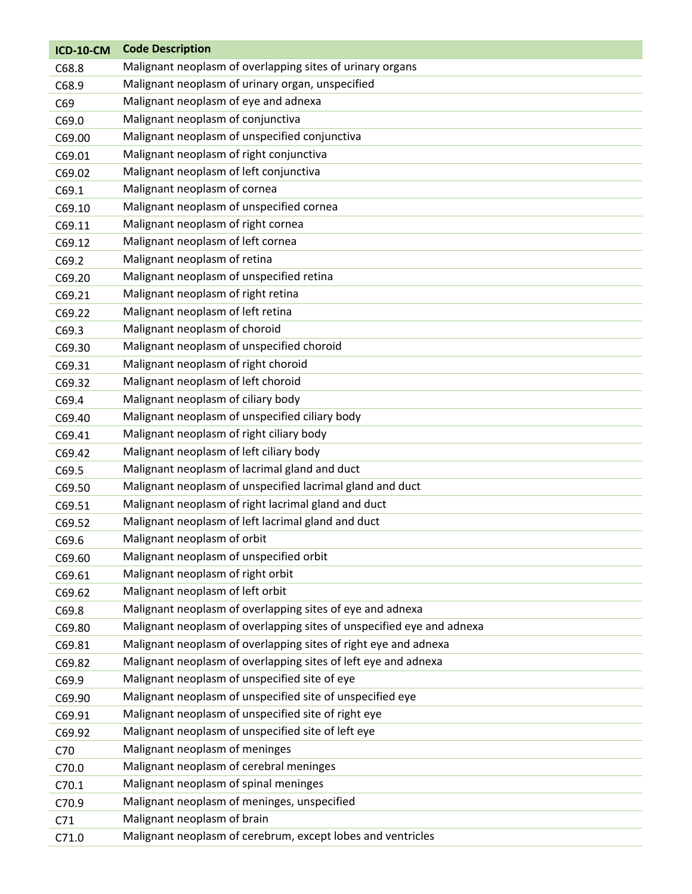| <b>ICD-10-CM</b> | <b>Code Description</b>                                               |
|------------------|-----------------------------------------------------------------------|
| C68.8            | Malignant neoplasm of overlapping sites of urinary organs             |
| C68.9            | Malignant neoplasm of urinary organ, unspecified                      |
| C69              | Malignant neoplasm of eye and adnexa                                  |
| C69.0            | Malignant neoplasm of conjunctiva                                     |
| C69.00           | Malignant neoplasm of unspecified conjunctiva                         |
| C69.01           | Malignant neoplasm of right conjunctiva                               |
| C69.02           | Malignant neoplasm of left conjunctiva                                |
| C69.1            | Malignant neoplasm of cornea                                          |
| C69.10           | Malignant neoplasm of unspecified cornea                              |
| C69.11           | Malignant neoplasm of right cornea                                    |
| C69.12           | Malignant neoplasm of left cornea                                     |
| C69.2            | Malignant neoplasm of retina                                          |
| C69.20           | Malignant neoplasm of unspecified retina                              |
| C69.21           | Malignant neoplasm of right retina                                    |
| C69.22           | Malignant neoplasm of left retina                                     |
| C69.3            | Malignant neoplasm of choroid                                         |
| C69.30           | Malignant neoplasm of unspecified choroid                             |
| C69.31           | Malignant neoplasm of right choroid                                   |
| C69.32           | Malignant neoplasm of left choroid                                    |
| C69.4            | Malignant neoplasm of ciliary body                                    |
| C69.40           | Malignant neoplasm of unspecified ciliary body                        |
| C69.41           | Malignant neoplasm of right ciliary body                              |
| C69.42           | Malignant neoplasm of left ciliary body                               |
| C69.5            | Malignant neoplasm of lacrimal gland and duct                         |
| C69.50           | Malignant neoplasm of unspecified lacrimal gland and duct             |
| C69.51           | Malignant neoplasm of right lacrimal gland and duct                   |
| C69.52           | Malignant neoplasm of left lacrimal gland and duct                    |
| C69.6            | Malignant neoplasm of orbit                                           |
| C69.60           | Malignant neoplasm of unspecified orbit                               |
| C69.61           | Malignant neoplasm of right orbit                                     |
| C69.62           | Malignant neoplasm of left orbit                                      |
| C69.8            | Malignant neoplasm of overlapping sites of eye and adnexa             |
| C69.80           | Malignant neoplasm of overlapping sites of unspecified eye and adnexa |
| C69.81           | Malignant neoplasm of overlapping sites of right eye and adnexa       |
| C69.82           | Malignant neoplasm of overlapping sites of left eye and adnexa        |
| C69.9            | Malignant neoplasm of unspecified site of eye                         |
| C69.90           | Malignant neoplasm of unspecified site of unspecified eye             |
| C69.91           | Malignant neoplasm of unspecified site of right eye                   |
| C69.92           | Malignant neoplasm of unspecified site of left eye                    |
| C70              | Malignant neoplasm of meninges                                        |
| C70.0            | Malignant neoplasm of cerebral meninges                               |
| C70.1            | Malignant neoplasm of spinal meninges                                 |
| C70.9            | Malignant neoplasm of meninges, unspecified                           |
| C71              | Malignant neoplasm of brain                                           |
| C71.0            | Malignant neoplasm of cerebrum, except lobes and ventricles           |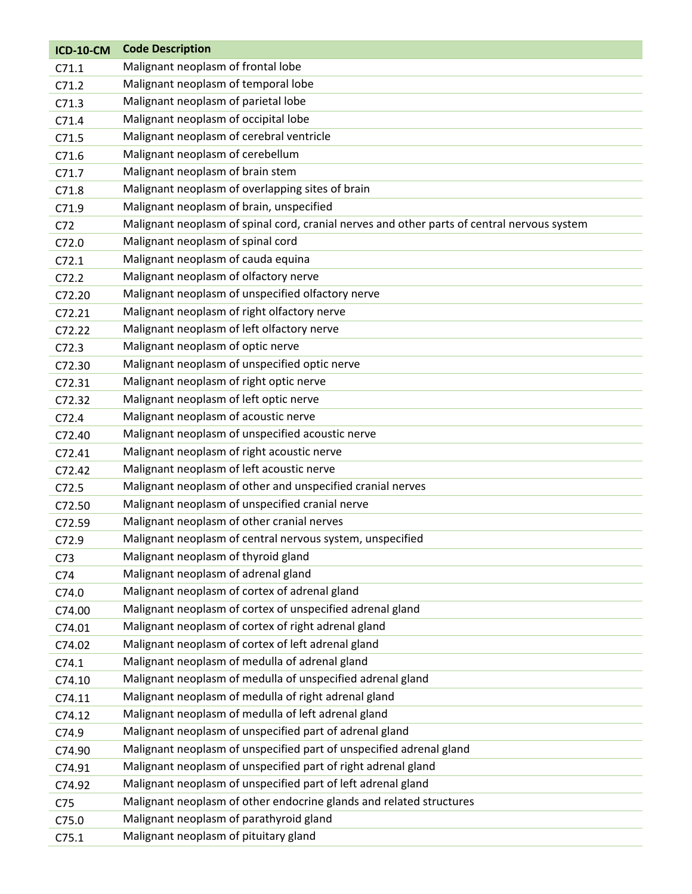| <b>ICD-10-CM</b> | <b>Code Description</b>                                                                     |
|------------------|---------------------------------------------------------------------------------------------|
| C71.1            | Malignant neoplasm of frontal lobe                                                          |
| C71.2            | Malignant neoplasm of temporal lobe                                                         |
| C71.3            | Malignant neoplasm of parietal lobe                                                         |
| C71.4            | Malignant neoplasm of occipital lobe                                                        |
| C71.5            | Malignant neoplasm of cerebral ventricle                                                    |
| C71.6            | Malignant neoplasm of cerebellum                                                            |
| C71.7            | Malignant neoplasm of brain stem                                                            |
| C71.8            | Malignant neoplasm of overlapping sites of brain                                            |
| C71.9            | Malignant neoplasm of brain, unspecified                                                    |
| C72              | Malignant neoplasm of spinal cord, cranial nerves and other parts of central nervous system |
| C72.0            | Malignant neoplasm of spinal cord                                                           |
| C72.1            | Malignant neoplasm of cauda equina                                                          |
| C72.2            | Malignant neoplasm of olfactory nerve                                                       |
| C72.20           | Malignant neoplasm of unspecified olfactory nerve                                           |
| C72.21           | Malignant neoplasm of right olfactory nerve                                                 |
| C72.22           | Malignant neoplasm of left olfactory nerve                                                  |
| C72.3            | Malignant neoplasm of optic nerve                                                           |
| C72.30           | Malignant neoplasm of unspecified optic nerve                                               |
| C72.31           | Malignant neoplasm of right optic nerve                                                     |
| C72.32           | Malignant neoplasm of left optic nerve                                                      |
| C72.4            | Malignant neoplasm of acoustic nerve                                                        |
| C72.40           | Malignant neoplasm of unspecified acoustic nerve                                            |
| C72.41           | Malignant neoplasm of right acoustic nerve                                                  |
| C72.42           | Malignant neoplasm of left acoustic nerve                                                   |
| C72.5            | Malignant neoplasm of other and unspecified cranial nerves                                  |
| C72.50           | Malignant neoplasm of unspecified cranial nerve                                             |
| C72.59           | Malignant neoplasm of other cranial nerves                                                  |
| C72.9            | Malignant neoplasm of central nervous system, unspecified                                   |
| C <sub>73</sub>  | Malignant neoplasm of thyroid gland                                                         |
| C74              | Malignant neoplasm of adrenal gland                                                         |
| C74.0            | Malignant neoplasm of cortex of adrenal gland                                               |
| C74.00           | Malignant neoplasm of cortex of unspecified adrenal gland                                   |
| C74.01           | Malignant neoplasm of cortex of right adrenal gland                                         |
| C74.02           | Malignant neoplasm of cortex of left adrenal gland                                          |
| C74.1            | Malignant neoplasm of medulla of adrenal gland                                              |
| C74.10           | Malignant neoplasm of medulla of unspecified adrenal gland                                  |
| C74.11           | Malignant neoplasm of medulla of right adrenal gland                                        |
| C74.12           | Malignant neoplasm of medulla of left adrenal gland                                         |
| C74.9            | Malignant neoplasm of unspecified part of adrenal gland                                     |
| C74.90           | Malignant neoplasm of unspecified part of unspecified adrenal gland                         |
| C74.91           | Malignant neoplasm of unspecified part of right adrenal gland                               |
| C74.92           | Malignant neoplasm of unspecified part of left adrenal gland                                |
| C <sub>75</sub>  | Malignant neoplasm of other endocrine glands and related structures                         |
| C75.0            | Malignant neoplasm of parathyroid gland                                                     |
| C75.1            | Malignant neoplasm of pituitary gland                                                       |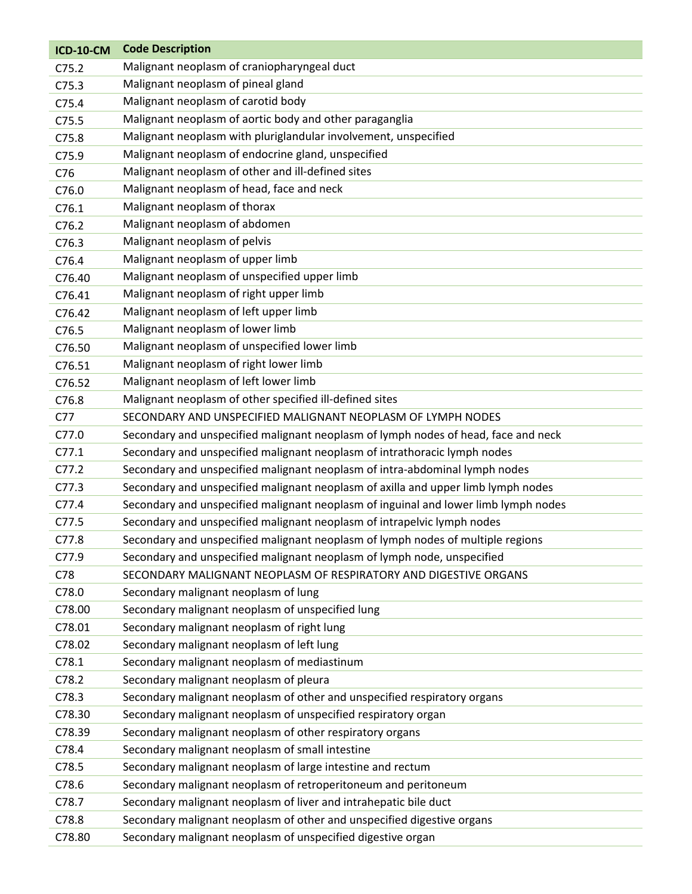| <b>ICD-10-CM</b>  | <b>Code Description</b>                                                             |
|-------------------|-------------------------------------------------------------------------------------|
| C75.2             | Malignant neoplasm of craniopharyngeal duct                                         |
| C <sub>75.3</sub> | Malignant neoplasm of pineal gland                                                  |
| C75.4             | Malignant neoplasm of carotid body                                                  |
| C75.5             | Malignant neoplasm of aortic body and other paraganglia                             |
| C75.8             | Malignant neoplasm with pluriglandular involvement, unspecified                     |
| C75.9             | Malignant neoplasm of endocrine gland, unspecified                                  |
| C76               | Malignant neoplasm of other and ill-defined sites                                   |
| C76.0             | Malignant neoplasm of head, face and neck                                           |
| C76.1             | Malignant neoplasm of thorax                                                        |
| C76.2             | Malignant neoplasm of abdomen                                                       |
| C76.3             | Malignant neoplasm of pelvis                                                        |
| C76.4             | Malignant neoplasm of upper limb                                                    |
| C76.40            | Malignant neoplasm of unspecified upper limb                                        |
| C76.41            | Malignant neoplasm of right upper limb                                              |
| C76.42            | Malignant neoplasm of left upper limb                                               |
| C76.5             | Malignant neoplasm of lower limb                                                    |
| C76.50            | Malignant neoplasm of unspecified lower limb                                        |
| C76.51            | Malignant neoplasm of right lower limb                                              |
| C76.52            | Malignant neoplasm of left lower limb                                               |
| C76.8             | Malignant neoplasm of other specified ill-defined sites                             |
| C77               | SECONDARY AND UNSPECIFIED MALIGNANT NEOPLASM OF LYMPH NODES                         |
| C77.0             | Secondary and unspecified malignant neoplasm of lymph nodes of head, face and neck  |
| C77.1             | Secondary and unspecified malignant neoplasm of intrathoracic lymph nodes           |
| C77.2             | Secondary and unspecified malignant neoplasm of intra-abdominal lymph nodes         |
| C77.3             | Secondary and unspecified malignant neoplasm of axilla and upper limb lymph nodes   |
| C77.4             | Secondary and unspecified malignant neoplasm of inguinal and lower limb lymph nodes |
| C77.5             | Secondary and unspecified malignant neoplasm of intrapelvic lymph nodes             |
| C77.8             | Secondary and unspecified malignant neoplasm of lymph nodes of multiple regions     |
| C77.9             | Secondary and unspecified malignant neoplasm of lymph node, unspecified             |
| C78               | SECONDARY MALIGNANT NEOPLASM OF RESPIRATORY AND DIGESTIVE ORGANS                    |
| C78.0             | Secondary malignant neoplasm of lung                                                |
| C78.00            | Secondary malignant neoplasm of unspecified lung                                    |
| C78.01            | Secondary malignant neoplasm of right lung                                          |
| C78.02            | Secondary malignant neoplasm of left lung                                           |
| C78.1             | Secondary malignant neoplasm of mediastinum                                         |
| C78.2             | Secondary malignant neoplasm of pleura                                              |
| C78.3             | Secondary malignant neoplasm of other and unspecified respiratory organs            |
| C78.30            | Secondary malignant neoplasm of unspecified respiratory organ                       |
| C78.39            | Secondary malignant neoplasm of other respiratory organs                            |
| C78.4             | Secondary malignant neoplasm of small intestine                                     |
| C78.5             | Secondary malignant neoplasm of large intestine and rectum                          |
| C78.6             | Secondary malignant neoplasm of retroperitoneum and peritoneum                      |
| C78.7             | Secondary malignant neoplasm of liver and intrahepatic bile duct                    |
| C78.8             | Secondary malignant neoplasm of other and unspecified digestive organs              |
| C78.80            | Secondary malignant neoplasm of unspecified digestive organ                         |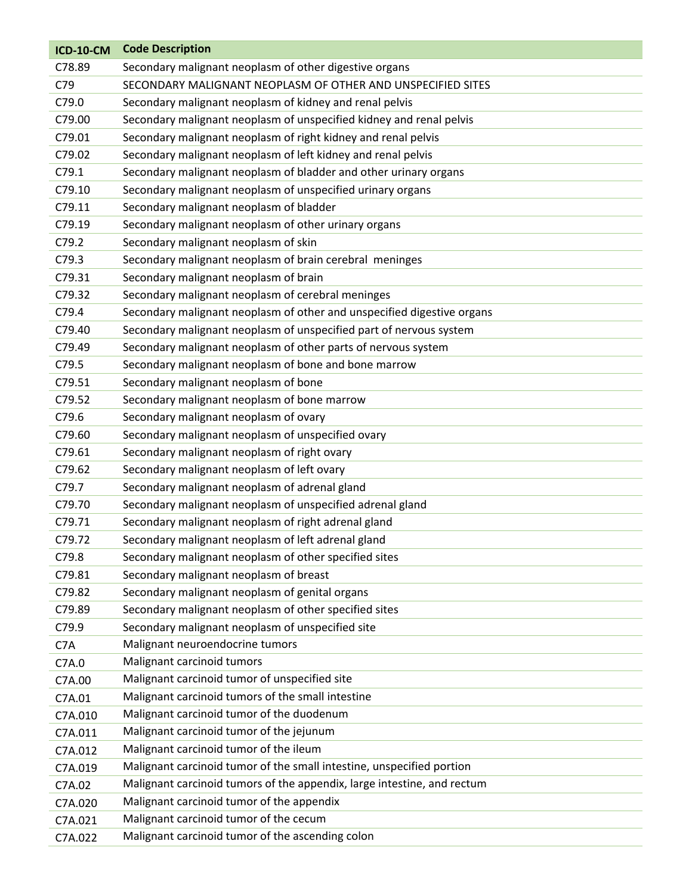| <b>ICD-10-CM</b> | <b>Code Description</b>                                                 |
|------------------|-------------------------------------------------------------------------|
| C78.89           | Secondary malignant neoplasm of other digestive organs                  |
| C79              | SECONDARY MALIGNANT NEOPLASM OF OTHER AND UNSPECIFIED SITES             |
| C79.0            | Secondary malignant neoplasm of kidney and renal pelvis                 |
| C79.00           | Secondary malignant neoplasm of unspecified kidney and renal pelvis     |
| C79.01           | Secondary malignant neoplasm of right kidney and renal pelvis           |
| C79.02           | Secondary malignant neoplasm of left kidney and renal pelvis            |
| C79.1            | Secondary malignant neoplasm of bladder and other urinary organs        |
| C79.10           | Secondary malignant neoplasm of unspecified urinary organs              |
| C79.11           | Secondary malignant neoplasm of bladder                                 |
| C79.19           | Secondary malignant neoplasm of other urinary organs                    |
| C79.2            | Secondary malignant neoplasm of skin                                    |
| C79.3            | Secondary malignant neoplasm of brain cerebral meninges                 |
| C79.31           | Secondary malignant neoplasm of brain                                   |
| C79.32           | Secondary malignant neoplasm of cerebral meninges                       |
| C79.4            | Secondary malignant neoplasm of other and unspecified digestive organs  |
| C79.40           | Secondary malignant neoplasm of unspecified part of nervous system      |
| C79.49           | Secondary malignant neoplasm of other parts of nervous system           |
| C79.5            | Secondary malignant neoplasm of bone and bone marrow                    |
| C79.51           | Secondary malignant neoplasm of bone                                    |
| C79.52           | Secondary malignant neoplasm of bone marrow                             |
| C79.6            | Secondary malignant neoplasm of ovary                                   |
| C79.60           | Secondary malignant neoplasm of unspecified ovary                       |
| C79.61           | Secondary malignant neoplasm of right ovary                             |
| C79.62           | Secondary malignant neoplasm of left ovary                              |
| C79.7            | Secondary malignant neoplasm of adrenal gland                           |
| C79.70           | Secondary malignant neoplasm of unspecified adrenal gland               |
| C79.71           | Secondary malignant neoplasm of right adrenal gland                     |
| C79.72           | Secondary malignant neoplasm of left adrenal gland                      |
| C79.8            | Secondary malignant neoplasm of other specified sites                   |
| C79.81           | Secondary malignant neoplasm of breast                                  |
| C79.82           | Secondary malignant neoplasm of genital organs                          |
| C79.89           | Secondary malignant neoplasm of other specified sites                   |
| C79.9            | Secondary malignant neoplasm of unspecified site                        |
| C7A              | Malignant neuroendocrine tumors                                         |
| C7A.0            | Malignant carcinoid tumors                                              |
| C7A.00           | Malignant carcinoid tumor of unspecified site                           |
| C7A.01           | Malignant carcinoid tumors of the small intestine                       |
| C7A.010          | Malignant carcinoid tumor of the duodenum                               |
| C7A.011          | Malignant carcinoid tumor of the jejunum                                |
| C7A.012          | Malignant carcinoid tumor of the ileum                                  |
| C7A.019          | Malignant carcinoid tumor of the small intestine, unspecified portion   |
| C7A.02           | Malignant carcinoid tumors of the appendix, large intestine, and rectum |
| C7A.020          | Malignant carcinoid tumor of the appendix                               |
| C7A.021          | Malignant carcinoid tumor of the cecum                                  |
| C7A.022          | Malignant carcinoid tumor of the ascending colon                        |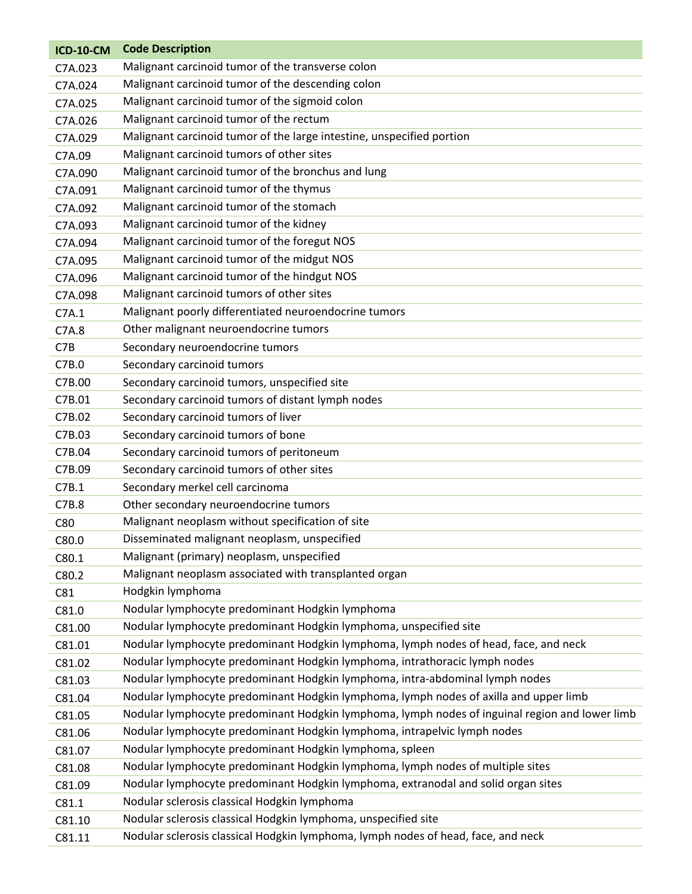| <b>ICD-10-CM</b> | <b>Code Description</b>                                                                        |
|------------------|------------------------------------------------------------------------------------------------|
| C7A.023          | Malignant carcinoid tumor of the transverse colon                                              |
| C7A.024          | Malignant carcinoid tumor of the descending colon                                              |
| C7A.025          | Malignant carcinoid tumor of the sigmoid colon                                                 |
| C7A.026          | Malignant carcinoid tumor of the rectum                                                        |
| C7A.029          | Malignant carcinoid tumor of the large intestine, unspecified portion                          |
| C7A.09           | Malignant carcinoid tumors of other sites                                                      |
| C7A.090          | Malignant carcinoid tumor of the bronchus and lung                                             |
| C7A.091          | Malignant carcinoid tumor of the thymus                                                        |
| C7A.092          | Malignant carcinoid tumor of the stomach                                                       |
| C7A.093          | Malignant carcinoid tumor of the kidney                                                        |
| C7A.094          | Malignant carcinoid tumor of the foregut NOS                                                   |
| C7A.095          | Malignant carcinoid tumor of the midgut NOS                                                    |
| C7A.096          | Malignant carcinoid tumor of the hindgut NOS                                                   |
| C7A.098          | Malignant carcinoid tumors of other sites                                                      |
| C7A.1            | Malignant poorly differentiated neuroendocrine tumors                                          |
| C7A.8            | Other malignant neuroendocrine tumors                                                          |
| C7B              | Secondary neuroendocrine tumors                                                                |
| C7B.0            | Secondary carcinoid tumors                                                                     |
| C7B.00           | Secondary carcinoid tumors, unspecified site                                                   |
| C7B.01           | Secondary carcinoid tumors of distant lymph nodes                                              |
| C7B.02           | Secondary carcinoid tumors of liver                                                            |
| C7B.03           | Secondary carcinoid tumors of bone                                                             |
| C7B.04           | Secondary carcinoid tumors of peritoneum                                                       |
| C7B.09           | Secondary carcinoid tumors of other sites                                                      |
| C7B.1            | Secondary merkel cell carcinoma                                                                |
| C7B.8            | Other secondary neuroendocrine tumors                                                          |
| C80              | Malignant neoplasm without specification of site                                               |
| C80.0            | Disseminated malignant neoplasm, unspecified                                                   |
| C80.1            | Malignant (primary) neoplasm, unspecified                                                      |
| C80.2            | Malignant neoplasm associated with transplanted organ                                          |
| C81              | Hodgkin lymphoma                                                                               |
| C81.0            | Nodular lymphocyte predominant Hodgkin lymphoma                                                |
| C81.00           | Nodular lymphocyte predominant Hodgkin lymphoma, unspecified site                              |
| C81.01           | Nodular lymphocyte predominant Hodgkin lymphoma, lymph nodes of head, face, and neck           |
| C81.02           | Nodular lymphocyte predominant Hodgkin lymphoma, intrathoracic lymph nodes                     |
| C81.03           | Nodular lymphocyte predominant Hodgkin lymphoma, intra-abdominal lymph nodes                   |
| C81.04           | Nodular lymphocyte predominant Hodgkin lymphoma, lymph nodes of axilla and upper limb          |
| C81.05           | Nodular lymphocyte predominant Hodgkin lymphoma, lymph nodes of inguinal region and lower limb |
| C81.06           | Nodular lymphocyte predominant Hodgkin lymphoma, intrapelvic lymph nodes                       |
| C81.07           | Nodular lymphocyte predominant Hodgkin lymphoma, spleen                                        |
| C81.08           | Nodular lymphocyte predominant Hodgkin lymphoma, lymph nodes of multiple sites                 |
| C81.09           | Nodular lymphocyte predominant Hodgkin lymphoma, extranodal and solid organ sites              |
| C81.1            | Nodular sclerosis classical Hodgkin lymphoma                                                   |
| C81.10           | Nodular sclerosis classical Hodgkin lymphoma, unspecified site                                 |
| C81.11           | Nodular sclerosis classical Hodgkin lymphoma, lymph nodes of head, face, and neck              |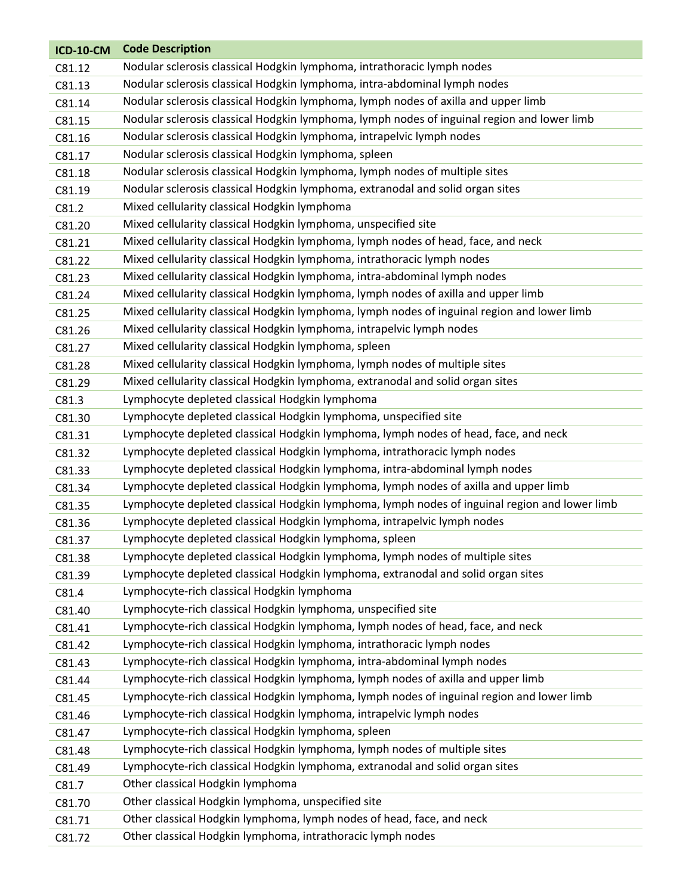| <b>ICD-10-CM</b> | <b>Code Description</b>                                                                       |
|------------------|-----------------------------------------------------------------------------------------------|
| C81.12           | Nodular sclerosis classical Hodgkin lymphoma, intrathoracic lymph nodes                       |
| C81.13           | Nodular sclerosis classical Hodgkin lymphoma, intra-abdominal lymph nodes                     |
| C81.14           | Nodular sclerosis classical Hodgkin lymphoma, lymph nodes of axilla and upper limb            |
| C81.15           | Nodular sclerosis classical Hodgkin lymphoma, lymph nodes of inguinal region and lower limb   |
| C81.16           | Nodular sclerosis classical Hodgkin lymphoma, intrapelvic lymph nodes                         |
| C81.17           | Nodular sclerosis classical Hodgkin lymphoma, spleen                                          |
| C81.18           | Nodular sclerosis classical Hodgkin lymphoma, lymph nodes of multiple sites                   |
| C81.19           | Nodular sclerosis classical Hodgkin lymphoma, extranodal and solid organ sites                |
| C81.2            | Mixed cellularity classical Hodgkin lymphoma                                                  |
| C81.20           | Mixed cellularity classical Hodgkin lymphoma, unspecified site                                |
| C81.21           | Mixed cellularity classical Hodgkin lymphoma, lymph nodes of head, face, and neck             |
| C81.22           | Mixed cellularity classical Hodgkin lymphoma, intrathoracic lymph nodes                       |
| C81.23           | Mixed cellularity classical Hodgkin lymphoma, intra-abdominal lymph nodes                     |
| C81.24           | Mixed cellularity classical Hodgkin lymphoma, lymph nodes of axilla and upper limb            |
| C81.25           | Mixed cellularity classical Hodgkin lymphoma, lymph nodes of inguinal region and lower limb   |
| C81.26           | Mixed cellularity classical Hodgkin lymphoma, intrapelvic lymph nodes                         |
| C81.27           | Mixed cellularity classical Hodgkin lymphoma, spleen                                          |
| C81.28           | Mixed cellularity classical Hodgkin lymphoma, lymph nodes of multiple sites                   |
| C81.29           | Mixed cellularity classical Hodgkin lymphoma, extranodal and solid organ sites                |
| C81.3            | Lymphocyte depleted classical Hodgkin lymphoma                                                |
| C81.30           | Lymphocyte depleted classical Hodgkin lymphoma, unspecified site                              |
| C81.31           | Lymphocyte depleted classical Hodgkin lymphoma, lymph nodes of head, face, and neck           |
| C81.32           | Lymphocyte depleted classical Hodgkin lymphoma, intrathoracic lymph nodes                     |
| C81.33           | Lymphocyte depleted classical Hodgkin lymphoma, intra-abdominal lymph nodes                   |
| C81.34           | Lymphocyte depleted classical Hodgkin lymphoma, lymph nodes of axilla and upper limb          |
| C81.35           | Lymphocyte depleted classical Hodgkin lymphoma, lymph nodes of inguinal region and lower limb |
| C81.36           | Lymphocyte depleted classical Hodgkin lymphoma, intrapelvic lymph nodes                       |
| C81.37           | Lymphocyte depleted classical Hodgkin lymphoma, spleen                                        |
| C81.38           | Lymphocyte depleted classical Hodgkin lymphoma, lymph nodes of multiple sites                 |
| C81.39           | Lymphocyte depleted classical Hodgkin lymphoma, extranodal and solid organ sites              |
| C81.4            | Lymphocyte-rich classical Hodgkin lymphoma                                                    |
| C81.40           | Lymphocyte-rich classical Hodgkin lymphoma, unspecified site                                  |
| C81.41           | Lymphocyte-rich classical Hodgkin lymphoma, lymph nodes of head, face, and neck               |
| C81.42           | Lymphocyte-rich classical Hodgkin lymphoma, intrathoracic lymph nodes                         |
| C81.43           | Lymphocyte-rich classical Hodgkin lymphoma, intra-abdominal lymph nodes                       |
| C81.44           | Lymphocyte-rich classical Hodgkin lymphoma, lymph nodes of axilla and upper limb              |
| C81.45           | Lymphocyte-rich classical Hodgkin lymphoma, lymph nodes of inguinal region and lower limb     |
| C81.46           | Lymphocyte-rich classical Hodgkin lymphoma, intrapelvic lymph nodes                           |
| C81.47           | Lymphocyte-rich classical Hodgkin lymphoma, spleen                                            |
| C81.48           | Lymphocyte-rich classical Hodgkin lymphoma, lymph nodes of multiple sites                     |
| C81.49           | Lymphocyte-rich classical Hodgkin lymphoma, extranodal and solid organ sites                  |
| C81.7            | Other classical Hodgkin lymphoma                                                              |
| C81.70           | Other classical Hodgkin lymphoma, unspecified site                                            |
| C81.71           | Other classical Hodgkin lymphoma, lymph nodes of head, face, and neck                         |
| C81.72           | Other classical Hodgkin lymphoma, intrathoracic lymph nodes                                   |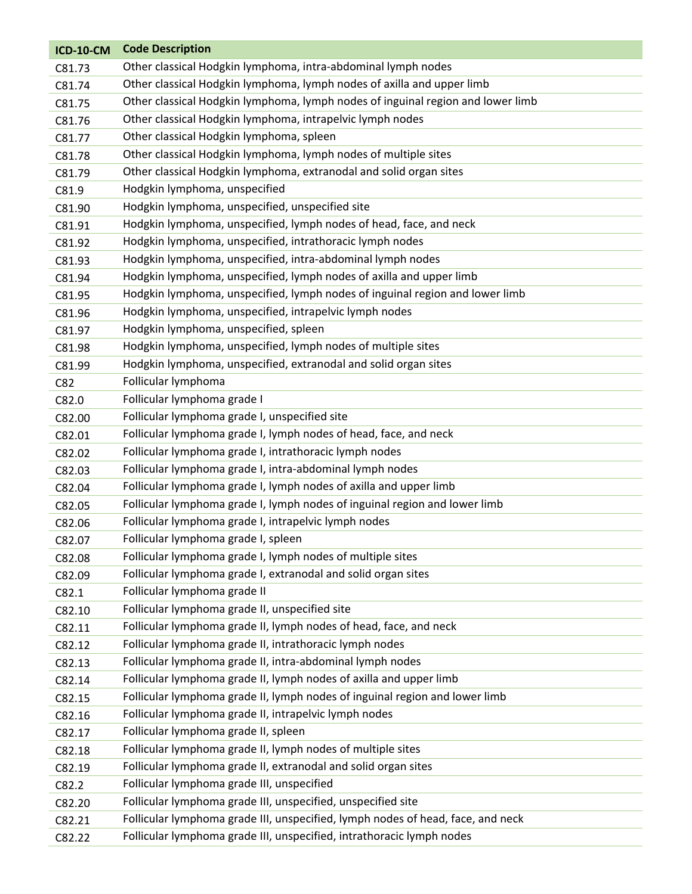| <b>ICD-10-CM</b> | <b>Code Description</b>                                                         |
|------------------|---------------------------------------------------------------------------------|
| C81.73           | Other classical Hodgkin lymphoma, intra-abdominal lymph nodes                   |
| C81.74           | Other classical Hodgkin lymphoma, lymph nodes of axilla and upper limb          |
| C81.75           | Other classical Hodgkin lymphoma, lymph nodes of inguinal region and lower limb |
| C81.76           | Other classical Hodgkin lymphoma, intrapelvic lymph nodes                       |
| C81.77           | Other classical Hodgkin lymphoma, spleen                                        |
| C81.78           | Other classical Hodgkin lymphoma, lymph nodes of multiple sites                 |
| C81.79           | Other classical Hodgkin lymphoma, extranodal and solid organ sites              |
| C81.9            | Hodgkin lymphoma, unspecified                                                   |
| C81.90           | Hodgkin lymphoma, unspecified, unspecified site                                 |
| C81.91           | Hodgkin lymphoma, unspecified, lymph nodes of head, face, and neck              |
| C81.92           | Hodgkin lymphoma, unspecified, intrathoracic lymph nodes                        |
| C81.93           | Hodgkin lymphoma, unspecified, intra-abdominal lymph nodes                      |
| C81.94           | Hodgkin lymphoma, unspecified, lymph nodes of axilla and upper limb             |
| C81.95           | Hodgkin lymphoma, unspecified, lymph nodes of inguinal region and lower limb    |
| C81.96           | Hodgkin lymphoma, unspecified, intrapelvic lymph nodes                          |
| C81.97           | Hodgkin lymphoma, unspecified, spleen                                           |
| C81.98           | Hodgkin lymphoma, unspecified, lymph nodes of multiple sites                    |
| C81.99           | Hodgkin lymphoma, unspecified, extranodal and solid organ sites                 |
| C82              | Follicular lymphoma                                                             |
| C82.0            | Follicular lymphoma grade I                                                     |
| C82.00           | Follicular lymphoma grade I, unspecified site                                   |
| C82.01           | Follicular lymphoma grade I, lymph nodes of head, face, and neck                |
| C82.02           | Follicular lymphoma grade I, intrathoracic lymph nodes                          |
| C82.03           | Follicular lymphoma grade I, intra-abdominal lymph nodes                        |
| C82.04           | Follicular lymphoma grade I, lymph nodes of axilla and upper limb               |
| C82.05           | Follicular lymphoma grade I, lymph nodes of inguinal region and lower limb      |
| C82.06           | Follicular lymphoma grade I, intrapelvic lymph nodes                            |
| C82.07           | Follicular lymphoma grade I, spleen                                             |
| C82.08           | Follicular lymphoma grade I, lymph nodes of multiple sites                      |
| C82.09           | Follicular lymphoma grade I, extranodal and solid organ sites                   |
| C82.1            | Follicular lymphoma grade II                                                    |
| C82.10           | Follicular lymphoma grade II, unspecified site                                  |
| C82.11           | Follicular lymphoma grade II, lymph nodes of head, face, and neck               |
| C82.12           | Follicular lymphoma grade II, intrathoracic lymph nodes                         |
| C82.13           | Follicular lymphoma grade II, intra-abdominal lymph nodes                       |
| C82.14           | Follicular lymphoma grade II, lymph nodes of axilla and upper limb              |
| C82.15           | Follicular lymphoma grade II, lymph nodes of inguinal region and lower limb     |
| C82.16           | Follicular lymphoma grade II, intrapelvic lymph nodes                           |
| C82.17           | Follicular lymphoma grade II, spleen                                            |
| C82.18           | Follicular lymphoma grade II, lymph nodes of multiple sites                     |
| C82.19           | Follicular lymphoma grade II, extranodal and solid organ sites                  |
| C82.2            | Follicular lymphoma grade III, unspecified                                      |
| C82.20           | Follicular lymphoma grade III, unspecified, unspecified site                    |
| C82.21           |                                                                                 |
|                  | Follicular lymphoma grade III, unspecified, lymph nodes of head, face, and neck |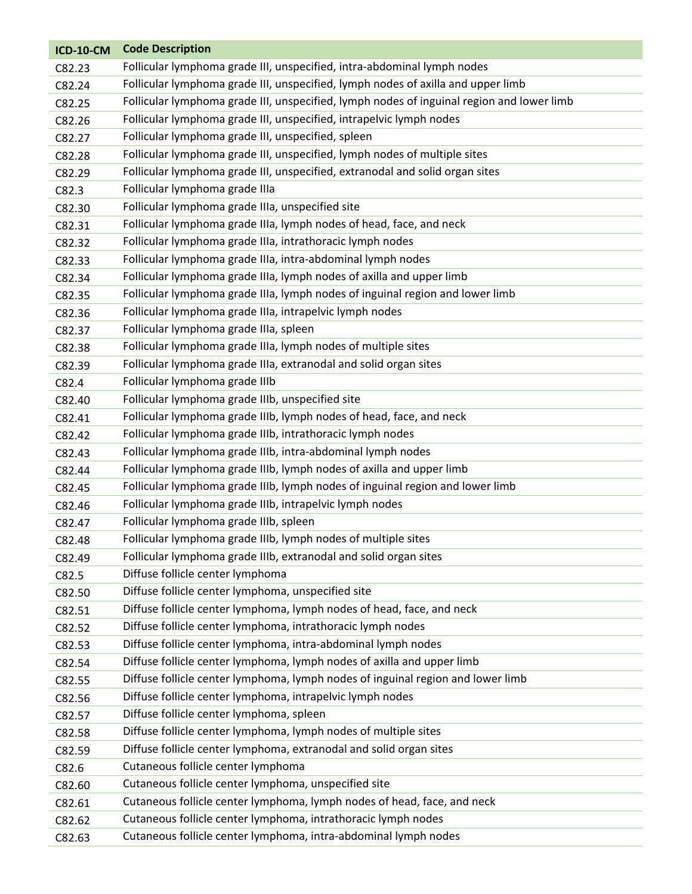| Follicular lymphoma grade III, unspecified, intra-abdominal lymph nodes<br>C82.23                   |  |
|-----------------------------------------------------------------------------------------------------|--|
| Follicular lymphoma grade III, unspecified, lymph nodes of axilla and upper limb<br>C82.24          |  |
| Follicular lymphoma grade III, unspecified, lymph nodes of inguinal region and lower limb<br>C82.25 |  |
| Follicular lymphoma grade III, unspecified, intrapelvic lymph nodes<br>C82.26                       |  |
| Follicular lymphoma grade III, unspecified, spleen<br>C82.27                                        |  |
| Follicular lymphoma grade III, unspecified, lymph nodes of multiple sites<br>C82.28                 |  |
| Follicular lymphoma grade III, unspecified, extranodal and solid organ sites<br>C82.29              |  |
| Follicular lymphoma grade IIIa<br>C82.3                                                             |  |
| Follicular lymphoma grade IIIa, unspecified site<br>C82.30                                          |  |
| Follicular lymphoma grade IIIa, lymph nodes of head, face, and neck<br>C82.31                       |  |
| Follicular lymphoma grade IIIa, intrathoracic lymph nodes<br>C82.32                                 |  |
| Follicular lymphoma grade IIIa, intra-abdominal lymph nodes<br>C82.33                               |  |
| Follicular lymphoma grade IIIa, lymph nodes of axilla and upper limb<br>C82.34                      |  |
| Follicular lymphoma grade IIIa, lymph nodes of inguinal region and lower limb<br>C82.35             |  |
| Follicular lymphoma grade IIIa, intrapelvic lymph nodes<br>C82.36                                   |  |
| Follicular lymphoma grade IIIa, spleen<br>C82.37                                                    |  |
| Follicular lymphoma grade IIIa, lymph nodes of multiple sites<br>C82.38                             |  |
| Follicular lymphoma grade IIIa, extranodal and solid organ sites<br>C82.39                          |  |
| Follicular lymphoma grade IIIb<br>C82.4                                                             |  |
| Follicular lymphoma grade IIIb, unspecified site<br>C82.40                                          |  |
| Follicular lymphoma grade IIIb, lymph nodes of head, face, and neck<br>C82.41                       |  |
| Follicular lymphoma grade IIIb, intrathoracic lymph nodes<br>C82.42                                 |  |
| Follicular lymphoma grade IIIb, intra-abdominal lymph nodes<br>C82.43                               |  |
| Follicular lymphoma grade IIIb, lymph nodes of axilla and upper limb<br>C82.44                      |  |
| Follicular lymphoma grade IIIb, lymph nodes of inguinal region and lower limb<br>C82.45             |  |
| Follicular lymphoma grade IIIb, intrapelvic lymph nodes<br>C82.46                                   |  |
| Follicular lymphoma grade IIIb, spleen<br>C82.47                                                    |  |
| Follicular lymphoma grade IIIb, lymph nodes of multiple sites<br>C82.48                             |  |
| Follicular lymphoma grade IIIb, extranodal and solid organ sites<br>C82.49                          |  |
| Diffuse follicle center lymphoma<br>C82.5                                                           |  |
| Diffuse follicle center lymphoma, unspecified site<br>C82.50                                        |  |
| Diffuse follicle center lymphoma, lymph nodes of head, face, and neck<br>C82.51                     |  |
| Diffuse follicle center lymphoma, intrathoracic lymph nodes<br>C82.52                               |  |
| Diffuse follicle center lymphoma, intra-abdominal lymph nodes<br>C82.53                             |  |
| Diffuse follicle center lymphoma, lymph nodes of axilla and upper limb<br>C82.54                    |  |
| Diffuse follicle center lymphoma, lymph nodes of inguinal region and lower limb<br>C82.55           |  |
| Diffuse follicle center lymphoma, intrapelvic lymph nodes<br>C82.56                                 |  |
| Diffuse follicle center lymphoma, spleen<br>C82.57                                                  |  |
| Diffuse follicle center lymphoma, lymph nodes of multiple sites<br>C82.58                           |  |
| Diffuse follicle center lymphoma, extranodal and solid organ sites<br>C82.59                        |  |
| Cutaneous follicle center lymphoma<br>C82.6                                                         |  |
| Cutaneous follicle center lymphoma, unspecified site<br>C82.60                                      |  |
| Cutaneous follicle center lymphoma, lymph nodes of head, face, and neck<br>C82.61                   |  |
| Cutaneous follicle center lymphoma, intrathoracic lymph nodes<br>C82.62                             |  |
| Cutaneous follicle center lymphoma, intra-abdominal lymph nodes<br>C82.63                           |  |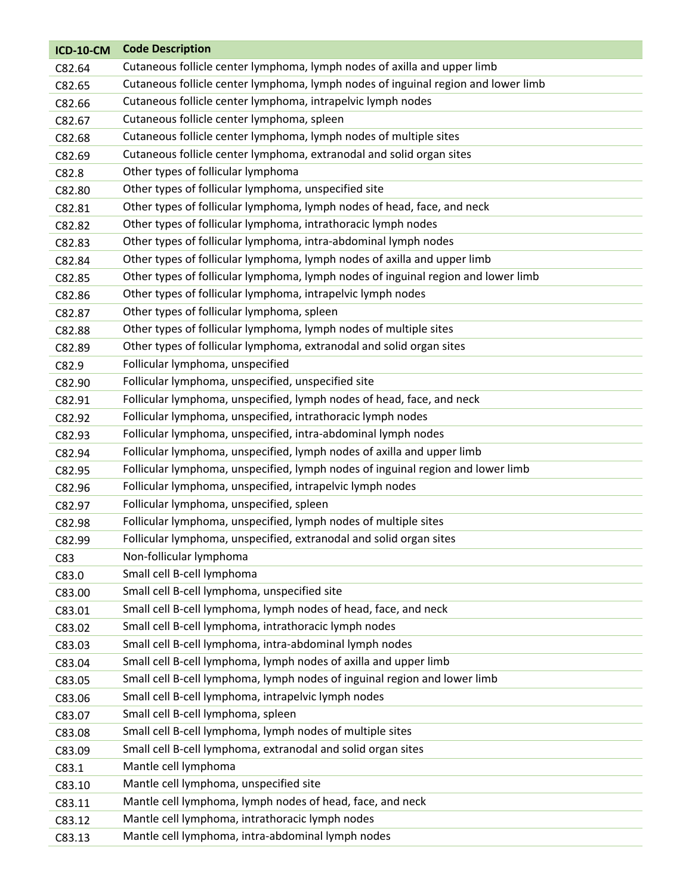| <b>ICD-10-CM</b> | <b>Code Description</b>                                                           |
|------------------|-----------------------------------------------------------------------------------|
| C82.64           | Cutaneous follicle center lymphoma, lymph nodes of axilla and upper limb          |
| C82.65           | Cutaneous follicle center lymphoma, lymph nodes of inguinal region and lower limb |
| C82.66           | Cutaneous follicle center lymphoma, intrapelvic lymph nodes                       |
| C82.67           | Cutaneous follicle center lymphoma, spleen                                        |
| C82.68           | Cutaneous follicle center lymphoma, lymph nodes of multiple sites                 |
| C82.69           | Cutaneous follicle center lymphoma, extranodal and solid organ sites              |
| C82.8            | Other types of follicular lymphoma                                                |
| C82.80           | Other types of follicular lymphoma, unspecified site                              |
| C82.81           | Other types of follicular lymphoma, lymph nodes of head, face, and neck           |
| C82.82           | Other types of follicular lymphoma, intrathoracic lymph nodes                     |
| C82.83           | Other types of follicular lymphoma, intra-abdominal lymph nodes                   |
| C82.84           | Other types of follicular lymphoma, lymph nodes of axilla and upper limb          |
| C82.85           | Other types of follicular lymphoma, lymph nodes of inguinal region and lower limb |
| C82.86           | Other types of follicular lymphoma, intrapelvic lymph nodes                       |
| C82.87           | Other types of follicular lymphoma, spleen                                        |
| C82.88           | Other types of follicular lymphoma, lymph nodes of multiple sites                 |
| C82.89           | Other types of follicular lymphoma, extranodal and solid organ sites              |
| C82.9            | Follicular lymphoma, unspecified                                                  |
| C82.90           | Follicular lymphoma, unspecified, unspecified site                                |
| C82.91           | Follicular lymphoma, unspecified, lymph nodes of head, face, and neck             |
| C82.92           | Follicular lymphoma, unspecified, intrathoracic lymph nodes                       |
| C82.93           | Follicular lymphoma, unspecified, intra-abdominal lymph nodes                     |
| C82.94           | Follicular lymphoma, unspecified, lymph nodes of axilla and upper limb            |
| C82.95           | Follicular lymphoma, unspecified, lymph nodes of inguinal region and lower limb   |
| C82.96           | Follicular lymphoma, unspecified, intrapelvic lymph nodes                         |
| C82.97           | Follicular lymphoma, unspecified, spleen                                          |
| C82.98           | Follicular lymphoma, unspecified, lymph nodes of multiple sites                   |
| C82.99           | Follicular lymphoma, unspecified, extranodal and solid organ sites                |
| C83              | Non-follicular lymphoma                                                           |
| C83.0            | Small cell B-cell lymphoma                                                        |
| C83.00           | Small cell B-cell lymphoma, unspecified site                                      |
| C83.01           | Small cell B-cell lymphoma, lymph nodes of head, face, and neck                   |
| C83.02           | Small cell B-cell lymphoma, intrathoracic lymph nodes                             |
| C83.03           | Small cell B-cell lymphoma, intra-abdominal lymph nodes                           |
| C83.04           | Small cell B-cell lymphoma, lymph nodes of axilla and upper limb                  |
| C83.05           | Small cell B-cell lymphoma, lymph nodes of inguinal region and lower limb         |
| C83.06           | Small cell B-cell lymphoma, intrapelvic lymph nodes                               |
| C83.07           | Small cell B-cell lymphoma, spleen                                                |
| C83.08           | Small cell B-cell lymphoma, lymph nodes of multiple sites                         |
| C83.09           | Small cell B-cell lymphoma, extranodal and solid organ sites                      |
| C83.1            | Mantle cell lymphoma                                                              |
| C83.10           | Mantle cell lymphoma, unspecified site                                            |
| C83.11           | Mantle cell lymphoma, lymph nodes of head, face, and neck                         |
| C83.12           | Mantle cell lymphoma, intrathoracic lymph nodes                                   |
| C83.13           | Mantle cell lymphoma, intra-abdominal lymph nodes                                 |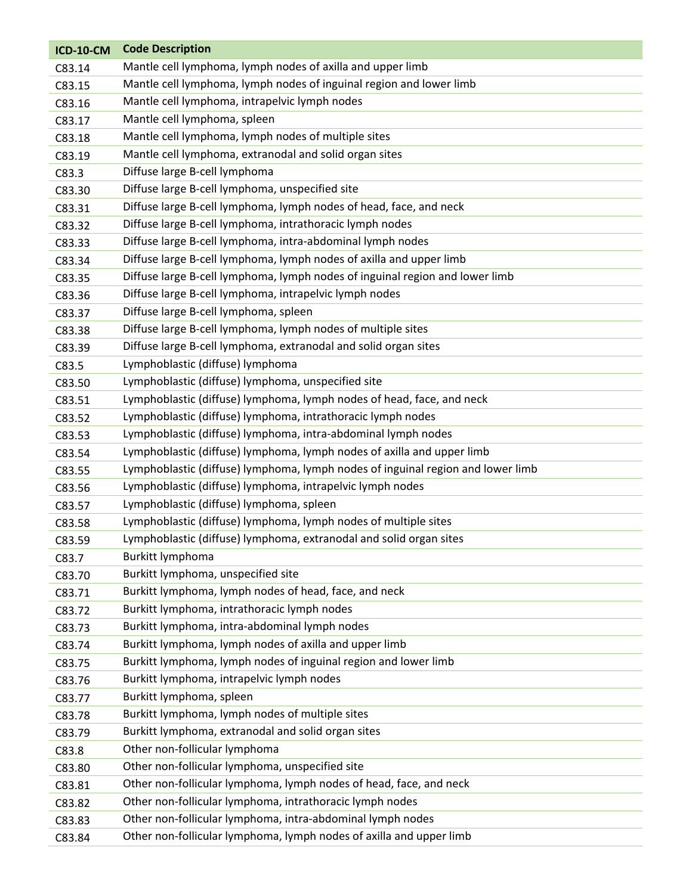| <b>ICD-10-CM</b> | <b>Code Description</b>                                                         |
|------------------|---------------------------------------------------------------------------------|
| C83.14           | Mantle cell lymphoma, lymph nodes of axilla and upper limb                      |
| C83.15           | Mantle cell lymphoma, lymph nodes of inguinal region and lower limb             |
| C83.16           | Mantle cell lymphoma, intrapelvic lymph nodes                                   |
| C83.17           | Mantle cell lymphoma, spleen                                                    |
| C83.18           | Mantle cell lymphoma, lymph nodes of multiple sites                             |
| C83.19           | Mantle cell lymphoma, extranodal and solid organ sites                          |
| C83.3            | Diffuse large B-cell lymphoma                                                   |
| C83.30           | Diffuse large B-cell lymphoma, unspecified site                                 |
| C83.31           | Diffuse large B-cell lymphoma, lymph nodes of head, face, and neck              |
| C83.32           | Diffuse large B-cell lymphoma, intrathoracic lymph nodes                        |
| C83.33           | Diffuse large B-cell lymphoma, intra-abdominal lymph nodes                      |
| C83.34           | Diffuse large B-cell lymphoma, lymph nodes of axilla and upper limb             |
| C83.35           | Diffuse large B-cell lymphoma, lymph nodes of inguinal region and lower limb    |
| C83.36           | Diffuse large B-cell lymphoma, intrapelvic lymph nodes                          |
| C83.37           | Diffuse large B-cell lymphoma, spleen                                           |
| C83.38           | Diffuse large B-cell lymphoma, lymph nodes of multiple sites                    |
| C83.39           | Diffuse large B-cell lymphoma, extranodal and solid organ sites                 |
| C83.5            | Lymphoblastic (diffuse) lymphoma                                                |
| C83.50           | Lymphoblastic (diffuse) lymphoma, unspecified site                              |
| C83.51           | Lymphoblastic (diffuse) lymphoma, lymph nodes of head, face, and neck           |
| C83.52           | Lymphoblastic (diffuse) lymphoma, intrathoracic lymph nodes                     |
| C83.53           | Lymphoblastic (diffuse) lymphoma, intra-abdominal lymph nodes                   |
| C83.54           | Lymphoblastic (diffuse) lymphoma, lymph nodes of axilla and upper limb          |
| C83.55           | Lymphoblastic (diffuse) lymphoma, lymph nodes of inguinal region and lower limb |
| C83.56           | Lymphoblastic (diffuse) lymphoma, intrapelvic lymph nodes                       |
| C83.57           | Lymphoblastic (diffuse) lymphoma, spleen                                        |
| C83.58           | Lymphoblastic (diffuse) lymphoma, lymph nodes of multiple sites                 |
| C83.59           | Lymphoblastic (diffuse) lymphoma, extranodal and solid organ sites              |
| C83.7            | Burkitt lymphoma                                                                |
| C83.70           | Burkitt lymphoma, unspecified site                                              |
| C83.71           | Burkitt lymphoma, lymph nodes of head, face, and neck                           |
| C83.72           | Burkitt lymphoma, intrathoracic lymph nodes                                     |
| C83.73           | Burkitt lymphoma, intra-abdominal lymph nodes                                   |
| C83.74           | Burkitt lymphoma, lymph nodes of axilla and upper limb                          |
| C83.75           | Burkitt lymphoma, lymph nodes of inguinal region and lower limb                 |
| C83.76           | Burkitt lymphoma, intrapelvic lymph nodes                                       |
| C83.77           | Burkitt lymphoma, spleen                                                        |
| C83.78           | Burkitt lymphoma, lymph nodes of multiple sites                                 |
| C83.79           | Burkitt lymphoma, extranodal and solid organ sites                              |
| C83.8            | Other non-follicular lymphoma                                                   |
| C83.80           | Other non-follicular lymphoma, unspecified site                                 |
| C83.81           | Other non-follicular lymphoma, lymph nodes of head, face, and neck              |
| C83.82           | Other non-follicular lymphoma, intrathoracic lymph nodes                        |
| C83.83           | Other non-follicular lymphoma, intra-abdominal lymph nodes                      |
| C83.84           | Other non-follicular lymphoma, lymph nodes of axilla and upper limb             |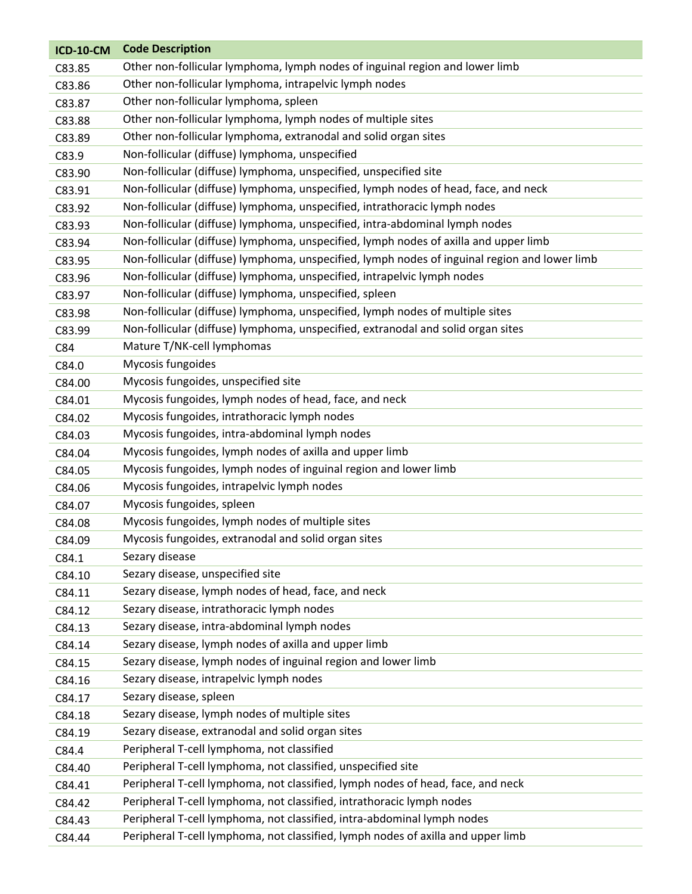| <b>ICD-10-CM</b> | <b>Code Description</b>                                                                       |
|------------------|-----------------------------------------------------------------------------------------------|
| C83.85           | Other non-follicular lymphoma, lymph nodes of inguinal region and lower limb                  |
| C83.86           | Other non-follicular lymphoma, intrapelvic lymph nodes                                        |
| C83.87           | Other non-follicular lymphoma, spleen                                                         |
| C83.88           | Other non-follicular lymphoma, lymph nodes of multiple sites                                  |
| C83.89           | Other non-follicular lymphoma, extranodal and solid organ sites                               |
| C83.9            | Non-follicular (diffuse) lymphoma, unspecified                                                |
| C83.90           | Non-follicular (diffuse) lymphoma, unspecified, unspecified site                              |
| C83.91           | Non-follicular (diffuse) lymphoma, unspecified, lymph nodes of head, face, and neck           |
| C83.92           | Non-follicular (diffuse) lymphoma, unspecified, intrathoracic lymph nodes                     |
| C83.93           | Non-follicular (diffuse) lymphoma, unspecified, intra-abdominal lymph nodes                   |
| C83.94           | Non-follicular (diffuse) lymphoma, unspecified, lymph nodes of axilla and upper limb          |
| C83.95           | Non-follicular (diffuse) lymphoma, unspecified, lymph nodes of inguinal region and lower limb |
| C83.96           | Non-follicular (diffuse) lymphoma, unspecified, intrapelvic lymph nodes                       |
| C83.97           | Non-follicular (diffuse) lymphoma, unspecified, spleen                                        |
| C83.98           | Non-follicular (diffuse) lymphoma, unspecified, lymph nodes of multiple sites                 |
| C83.99           | Non-follicular (diffuse) lymphoma, unspecified, extranodal and solid organ sites              |
| C84              | Mature T/NK-cell lymphomas                                                                    |
| C84.0            | Mycosis fungoides                                                                             |
| C84.00           | Mycosis fungoides, unspecified site                                                           |
| C84.01           | Mycosis fungoides, lymph nodes of head, face, and neck                                        |
| C84.02           | Mycosis fungoides, intrathoracic lymph nodes                                                  |
| C84.03           | Mycosis fungoides, intra-abdominal lymph nodes                                                |
| C84.04           | Mycosis fungoides, lymph nodes of axilla and upper limb                                       |
| C84.05           | Mycosis fungoides, lymph nodes of inguinal region and lower limb                              |
| C84.06           | Mycosis fungoides, intrapelvic lymph nodes                                                    |
| C84.07           | Mycosis fungoides, spleen                                                                     |
| C84.08           | Mycosis fungoides, lymph nodes of multiple sites                                              |
| C84.09           | Mycosis fungoides, extranodal and solid organ sites                                           |
| C84.1            | Sezary disease                                                                                |
| C84.10           | Sezary disease, unspecified site                                                              |
| C84.11           | Sezary disease, lymph nodes of head, face, and neck                                           |
| C84.12           | Sezary disease, intrathoracic lymph nodes                                                     |
| C84.13           | Sezary disease, intra-abdominal lymph nodes                                                   |
| C84.14           | Sezary disease, lymph nodes of axilla and upper limb                                          |
| C84.15           | Sezary disease, lymph nodes of inguinal region and lower limb                                 |
| C84.16           | Sezary disease, intrapelvic lymph nodes                                                       |
| C84.17           | Sezary disease, spleen                                                                        |
| C84.18           | Sezary disease, lymph nodes of multiple sites                                                 |
| C84.19           | Sezary disease, extranodal and solid organ sites                                              |
| C84.4            | Peripheral T-cell lymphoma, not classified                                                    |
| C84.40           | Peripheral T-cell lymphoma, not classified, unspecified site                                  |
| C84.41           | Peripheral T-cell lymphoma, not classified, lymph nodes of head, face, and neck               |
| C84.42           | Peripheral T-cell lymphoma, not classified, intrathoracic lymph nodes                         |
| C84.43           | Peripheral T-cell lymphoma, not classified, intra-abdominal lymph nodes                       |
| C84.44           | Peripheral T-cell lymphoma, not classified, lymph nodes of axilla and upper limb              |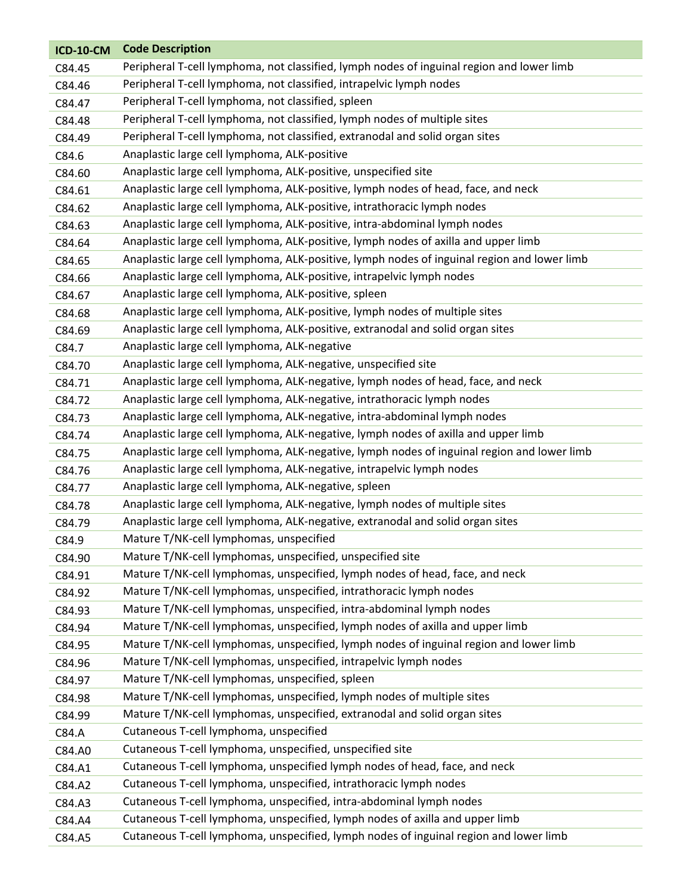| <b>ICD-10-CM</b> | <b>Code Description</b>                                                                     |
|------------------|---------------------------------------------------------------------------------------------|
| C84.45           | Peripheral T-cell lymphoma, not classified, lymph nodes of inguinal region and lower limb   |
| C84.46           | Peripheral T-cell lymphoma, not classified, intrapelvic lymph nodes                         |
| C84.47           | Peripheral T-cell lymphoma, not classified, spleen                                          |
| C84.48           | Peripheral T-cell lymphoma, not classified, lymph nodes of multiple sites                   |
| C84.49           | Peripheral T-cell lymphoma, not classified, extranodal and solid organ sites                |
| C84.6            | Anaplastic large cell lymphoma, ALK-positive                                                |
| C84.60           | Anaplastic large cell lymphoma, ALK-positive, unspecified site                              |
| C84.61           | Anaplastic large cell lymphoma, ALK-positive, lymph nodes of head, face, and neck           |
| C84.62           | Anaplastic large cell lymphoma, ALK-positive, intrathoracic lymph nodes                     |
| C84.63           | Anaplastic large cell lymphoma, ALK-positive, intra-abdominal lymph nodes                   |
| C84.64           | Anaplastic large cell lymphoma, ALK-positive, lymph nodes of axilla and upper limb          |
| C84.65           | Anaplastic large cell lymphoma, ALK-positive, lymph nodes of inguinal region and lower limb |
| C84.66           | Anaplastic large cell lymphoma, ALK-positive, intrapelvic lymph nodes                       |
| C84.67           | Anaplastic large cell lymphoma, ALK-positive, spleen                                        |
| C84.68           | Anaplastic large cell lymphoma, ALK-positive, lymph nodes of multiple sites                 |
| C84.69           | Anaplastic large cell lymphoma, ALK-positive, extranodal and solid organ sites              |
| C84.7            | Anaplastic large cell lymphoma, ALK-negative                                                |
| C84.70           | Anaplastic large cell lymphoma, ALK-negative, unspecified site                              |
| C84.71           | Anaplastic large cell lymphoma, ALK-negative, lymph nodes of head, face, and neck           |
| C84.72           | Anaplastic large cell lymphoma, ALK-negative, intrathoracic lymph nodes                     |
| C84.73           | Anaplastic large cell lymphoma, ALK-negative, intra-abdominal lymph nodes                   |
| C84.74           | Anaplastic large cell lymphoma, ALK-negative, lymph nodes of axilla and upper limb          |
| C84.75           | Anaplastic large cell lymphoma, ALK-negative, lymph nodes of inguinal region and lower limb |
| C84.76           | Anaplastic large cell lymphoma, ALK-negative, intrapelvic lymph nodes                       |
| C84.77           | Anaplastic large cell lymphoma, ALK-negative, spleen                                        |
| C84.78           | Anaplastic large cell lymphoma, ALK-negative, lymph nodes of multiple sites                 |
| C84.79           | Anaplastic large cell lymphoma, ALK-negative, extranodal and solid organ sites              |
| C84.9            | Mature T/NK-cell lymphomas, unspecified                                                     |
| C84.90           | Mature T/NK-cell lymphomas, unspecified, unspecified site                                   |
| C84.91           | Mature T/NK-cell lymphomas, unspecified, lymph nodes of head, face, and neck                |
| C84.92           | Mature T/NK-cell lymphomas, unspecified, intrathoracic lymph nodes                          |
| C84.93           | Mature T/NK-cell lymphomas, unspecified, intra-abdominal lymph nodes                        |
| C84.94           | Mature T/NK-cell lymphomas, unspecified, lymph nodes of axilla and upper limb               |
| C84.95           | Mature T/NK-cell lymphomas, unspecified, lymph nodes of inguinal region and lower limb      |
| C84.96           | Mature T/NK-cell lymphomas, unspecified, intrapelvic lymph nodes                            |
| C84.97           | Mature T/NK-cell lymphomas, unspecified, spleen                                             |
| C84.98           | Mature T/NK-cell lymphomas, unspecified, lymph nodes of multiple sites                      |
| C84.99           | Mature T/NK-cell lymphomas, unspecified, extranodal and solid organ sites                   |
| C84.A            | Cutaneous T-cell lymphoma, unspecified                                                      |
| C84.A0           | Cutaneous T-cell lymphoma, unspecified, unspecified site                                    |
| C84.A1           | Cutaneous T-cell lymphoma, unspecified lymph nodes of head, face, and neck                  |
| C84.A2           | Cutaneous T-cell lymphoma, unspecified, intrathoracic lymph nodes                           |
| C84.A3           | Cutaneous T-cell lymphoma, unspecified, intra-abdominal lymph nodes                         |
| C84.A4           | Cutaneous T-cell lymphoma, unspecified, lymph nodes of axilla and upper limb                |
| C84.A5           | Cutaneous T-cell lymphoma, unspecified, lymph nodes of inguinal region and lower limb       |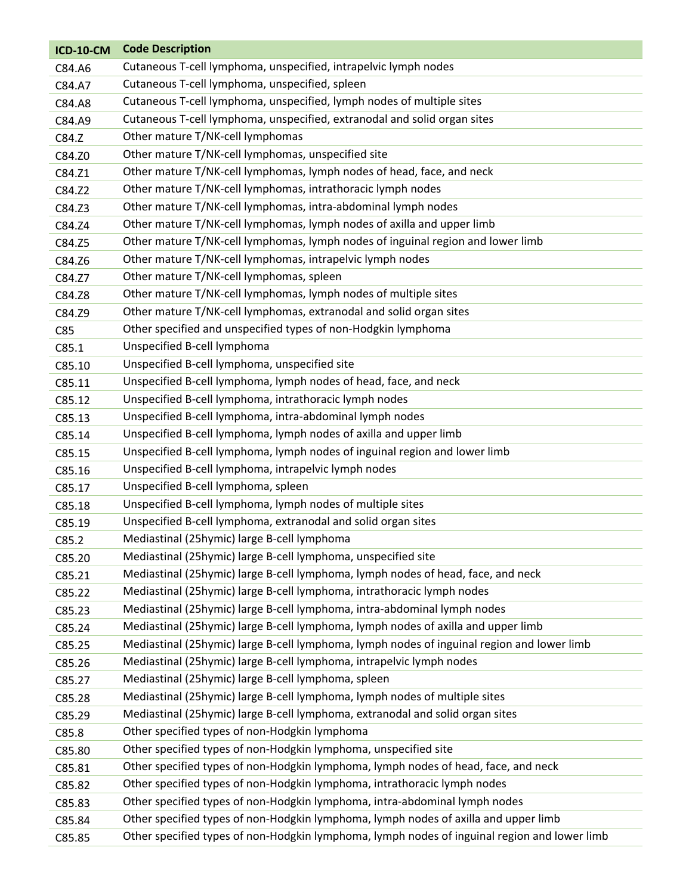| <b>ICD-10-CM</b> | <b>Code Description</b>                                                                      |
|------------------|----------------------------------------------------------------------------------------------|
| C84.A6           | Cutaneous T-cell lymphoma, unspecified, intrapelvic lymph nodes                              |
| C84.A7           | Cutaneous T-cell lymphoma, unspecified, spleen                                               |
| C84.A8           | Cutaneous T-cell lymphoma, unspecified, lymph nodes of multiple sites                        |
| C84.A9           | Cutaneous T-cell lymphoma, unspecified, extranodal and solid organ sites                     |
| C84.Z            | Other mature T/NK-cell lymphomas                                                             |
| C84.Z0           | Other mature T/NK-cell lymphomas, unspecified site                                           |
| C84.Z1           | Other mature T/NK-cell lymphomas, lymph nodes of head, face, and neck                        |
| C84.Z2           | Other mature T/NK-cell lymphomas, intrathoracic lymph nodes                                  |
| C84.Z3           | Other mature T/NK-cell lymphomas, intra-abdominal lymph nodes                                |
| C84.Z4           | Other mature T/NK-cell lymphomas, lymph nodes of axilla and upper limb                       |
| C84.Z5           | Other mature T/NK-cell lymphomas, lymph nodes of inguinal region and lower limb              |
| C84.Z6           | Other mature T/NK-cell lymphomas, intrapelvic lymph nodes                                    |
| C84.Z7           | Other mature T/NK-cell lymphomas, spleen                                                     |
| C84.Z8           | Other mature T/NK-cell lymphomas, lymph nodes of multiple sites                              |
| C84.Z9           | Other mature T/NK-cell lymphomas, extranodal and solid organ sites                           |
| C85              | Other specified and unspecified types of non-Hodgkin lymphoma                                |
| C85.1            | Unspecified B-cell lymphoma                                                                  |
| C85.10           | Unspecified B-cell lymphoma, unspecified site                                                |
| C85.11           | Unspecified B-cell lymphoma, lymph nodes of head, face, and neck                             |
| C85.12           | Unspecified B-cell lymphoma, intrathoracic lymph nodes                                       |
| C85.13           | Unspecified B-cell lymphoma, intra-abdominal lymph nodes                                     |
| C85.14           | Unspecified B-cell lymphoma, lymph nodes of axilla and upper limb                            |
| C85.15           | Unspecified B-cell lymphoma, lymph nodes of inguinal region and lower limb                   |
| C85.16           | Unspecified B-cell lymphoma, intrapelvic lymph nodes                                         |
| C85.17           | Unspecified B-cell lymphoma, spleen                                                          |
| C85.18           | Unspecified B-cell lymphoma, lymph nodes of multiple sites                                   |
| C85.19           | Unspecified B-cell lymphoma, extranodal and solid organ sites                                |
| C85.2            | Mediastinal (25hymic) large B-cell lymphoma                                                  |
| C85.20           | Mediastinal (25hymic) large B-cell lymphoma, unspecified site                                |
| C85.21           | Mediastinal (25hymic) large B-cell lymphoma, lymph nodes of head, face, and neck             |
| C85.22           | Mediastinal (25hymic) large B-cell lymphoma, intrathoracic lymph nodes                       |
| C85.23           | Mediastinal (25hymic) large B-cell lymphoma, intra-abdominal lymph nodes                     |
| C85.24           | Mediastinal (25hymic) large B-cell lymphoma, lymph nodes of axilla and upper limb            |
| C85.25           | Mediastinal (25hymic) large B-cell lymphoma, lymph nodes of inguinal region and lower limb   |
| C85.26           | Mediastinal (25hymic) large B-cell lymphoma, intrapelvic lymph nodes                         |
| C85.27           | Mediastinal (25hymic) large B-cell lymphoma, spleen                                          |
| C85.28           | Mediastinal (25hymic) large B-cell lymphoma, lymph nodes of multiple sites                   |
| C85.29           | Mediastinal (25hymic) large B-cell lymphoma, extranodal and solid organ sites                |
| C85.8            | Other specified types of non-Hodgkin lymphoma                                                |
| C85.80           | Other specified types of non-Hodgkin lymphoma, unspecified site                              |
| C85.81           | Other specified types of non-Hodgkin lymphoma, lymph nodes of head, face, and neck           |
| C85.82           | Other specified types of non-Hodgkin lymphoma, intrathoracic lymph nodes                     |
| C85.83           | Other specified types of non-Hodgkin lymphoma, intra-abdominal lymph nodes                   |
| C85.84           | Other specified types of non-Hodgkin lymphoma, lymph nodes of axilla and upper limb          |
| C85.85           | Other specified types of non-Hodgkin lymphoma, lymph nodes of inguinal region and lower limb |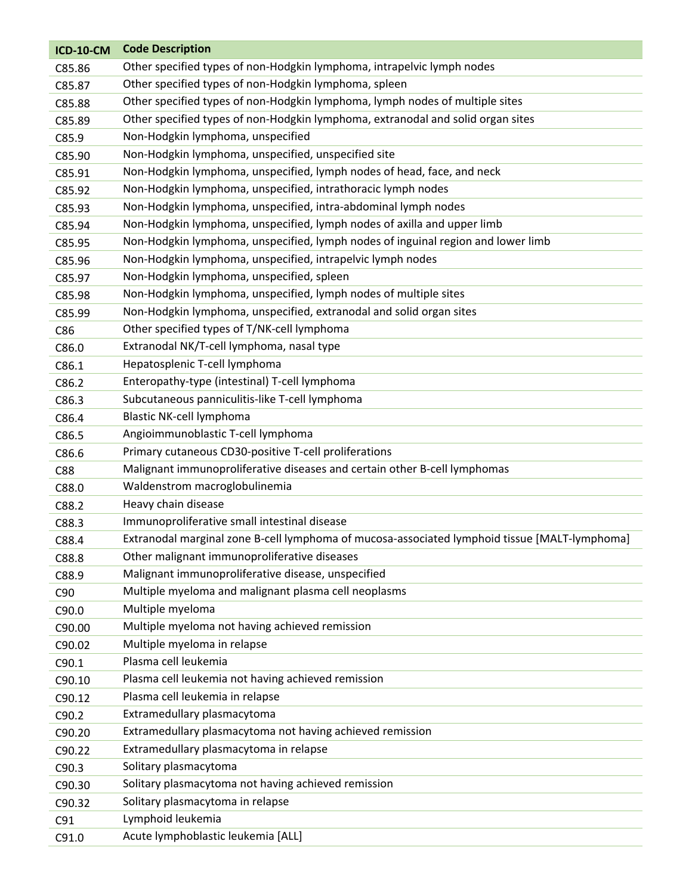| <b>ICD-10-CM</b> | <b>Code Description</b>                                                                       |
|------------------|-----------------------------------------------------------------------------------------------|
| C85.86           | Other specified types of non-Hodgkin lymphoma, intrapelvic lymph nodes                        |
| C85.87           | Other specified types of non-Hodgkin lymphoma, spleen                                         |
| C85.88           | Other specified types of non-Hodgkin lymphoma, lymph nodes of multiple sites                  |
| C85.89           | Other specified types of non-Hodgkin lymphoma, extranodal and solid organ sites               |
| C85.9            | Non-Hodgkin lymphoma, unspecified                                                             |
| C85.90           | Non-Hodgkin lymphoma, unspecified, unspecified site                                           |
| C85.91           | Non-Hodgkin lymphoma, unspecified, lymph nodes of head, face, and neck                        |
| C85.92           | Non-Hodgkin lymphoma, unspecified, intrathoracic lymph nodes                                  |
| C85.93           | Non-Hodgkin lymphoma, unspecified, intra-abdominal lymph nodes                                |
| C85.94           | Non-Hodgkin lymphoma, unspecified, lymph nodes of axilla and upper limb                       |
| C85.95           | Non-Hodgkin lymphoma, unspecified, lymph nodes of inguinal region and lower limb              |
| C85.96           | Non-Hodgkin lymphoma, unspecified, intrapelvic lymph nodes                                    |
| C85.97           | Non-Hodgkin lymphoma, unspecified, spleen                                                     |
| C85.98           | Non-Hodgkin lymphoma, unspecified, lymph nodes of multiple sites                              |
| C85.99           | Non-Hodgkin lymphoma, unspecified, extranodal and solid organ sites                           |
| C86              | Other specified types of T/NK-cell lymphoma                                                   |
| C86.0            | Extranodal NK/T-cell lymphoma, nasal type                                                     |
| C86.1            | Hepatosplenic T-cell lymphoma                                                                 |
| C86.2            | Enteropathy-type (intestinal) T-cell lymphoma                                                 |
| C86.3            | Subcutaneous panniculitis-like T-cell lymphoma                                                |
| C86.4            | Blastic NK-cell lymphoma                                                                      |
| C86.5            | Angioimmunoblastic T-cell lymphoma                                                            |
| C86.6            | Primary cutaneous CD30-positive T-cell proliferations                                         |
| C88              | Malignant immunoproliferative diseases and certain other B-cell lymphomas                     |
| C88.0            | Waldenstrom macroglobulinemia                                                                 |
| C88.2            | Heavy chain disease                                                                           |
| C88.3            | Immunoproliferative small intestinal disease                                                  |
| C88.4            | Extranodal marginal zone B-cell lymphoma of mucosa-associated lymphoid tissue [MALT-lymphoma] |
| C88.8            | Other malignant immunoproliferative diseases                                                  |
| C88.9            | Malignant immunoproliferative disease, unspecified                                            |
| C90              | Multiple myeloma and malignant plasma cell neoplasms                                          |
| C90.0            | Multiple myeloma                                                                              |
| C90.00           | Multiple myeloma not having achieved remission                                                |
| C90.02           | Multiple myeloma in relapse                                                                   |
| C90.1            | Plasma cell leukemia                                                                          |
| C90.10           | Plasma cell leukemia not having achieved remission                                            |
| C90.12           | Plasma cell leukemia in relapse                                                               |
| C90.2            | Extramedullary plasmacytoma                                                                   |
| C90.20           | Extramedullary plasmacytoma not having achieved remission                                     |
| C90.22           | Extramedullary plasmacytoma in relapse                                                        |
| C90.3            | Solitary plasmacytoma                                                                         |
| C90.30           | Solitary plasmacytoma not having achieved remission                                           |
| C90.32           | Solitary plasmacytoma in relapse                                                              |
| C91              | Lymphoid leukemia                                                                             |
| C91.0            | Acute lymphoblastic leukemia [ALL]                                                            |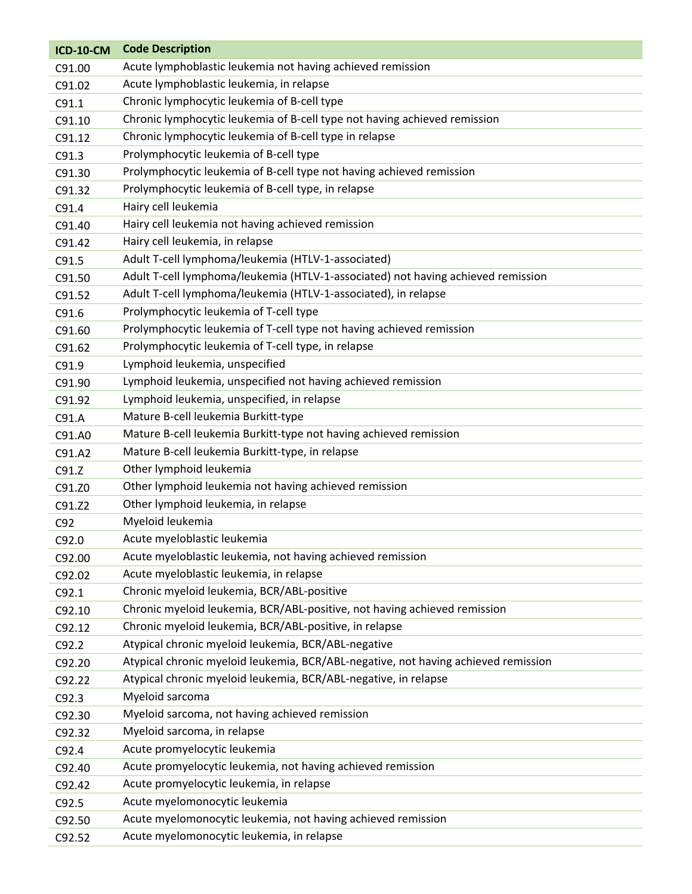| <b>ICD-10-CM</b> | <b>Code Description</b>                                                            |
|------------------|------------------------------------------------------------------------------------|
| C91.00           | Acute lymphoblastic leukemia not having achieved remission                         |
| C91.02           | Acute lymphoblastic leukemia, in relapse                                           |
| C91.1            | Chronic lymphocytic leukemia of B-cell type                                        |
| C91.10           | Chronic lymphocytic leukemia of B-cell type not having achieved remission          |
| C91.12           | Chronic lymphocytic leukemia of B-cell type in relapse                             |
| C91.3            | Prolymphocytic leukemia of B-cell type                                             |
| C91.30           | Prolymphocytic leukemia of B-cell type not having achieved remission               |
| C91.32           | Prolymphocytic leukemia of B-cell type, in relapse                                 |
| C91.4            | Hairy cell leukemia                                                                |
| C91.40           | Hairy cell leukemia not having achieved remission                                  |
| C91.42           | Hairy cell leukemia, in relapse                                                    |
| C91.5            | Adult T-cell lymphoma/leukemia (HTLV-1-associated)                                 |
| C91.50           | Adult T-cell lymphoma/leukemia (HTLV-1-associated) not having achieved remission   |
| C91.52           | Adult T-cell lymphoma/leukemia (HTLV-1-associated), in relapse                     |
| C91.6            | Prolymphocytic leukemia of T-cell type                                             |
| C91.60           | Prolymphocytic leukemia of T-cell type not having achieved remission               |
| C91.62           | Prolymphocytic leukemia of T-cell type, in relapse                                 |
| C91.9            | Lymphoid leukemia, unspecified                                                     |
| C91.90           | Lymphoid leukemia, unspecified not having achieved remission                       |
| C91.92           | Lymphoid leukemia, unspecified, in relapse                                         |
| C91.A            | Mature B-cell leukemia Burkitt-type                                                |
| C91.A0           | Mature B-cell leukemia Burkitt-type not having achieved remission                  |
| C91.A2           | Mature B-cell leukemia Burkitt-type, in relapse                                    |
| C91.Z            | Other lymphoid leukemia                                                            |
| C91.Z0           | Other lymphoid leukemia not having achieved remission                              |
| C91.Z2           | Other lymphoid leukemia, in relapse                                                |
| C92              | Myeloid leukemia                                                                   |
| C92.0            | Acute myeloblastic leukemia                                                        |
| C92.00           | Acute myeloblastic leukemia, not having achieved remission                         |
| C92.02           | Acute myeloblastic leukemia, in relapse                                            |
| C92.1            | Chronic myeloid leukemia, BCR/ABL-positive                                         |
| C92.10           | Chronic myeloid leukemia, BCR/ABL-positive, not having achieved remission          |
| C92.12           | Chronic myeloid leukemia, BCR/ABL-positive, in relapse                             |
| C92.2            | Atypical chronic myeloid leukemia, BCR/ABL-negative                                |
| C92.20           | Atypical chronic myeloid leukemia, BCR/ABL-negative, not having achieved remission |
| C92.22           | Atypical chronic myeloid leukemia, BCR/ABL-negative, in relapse                    |
| C92.3            | Myeloid sarcoma                                                                    |
| C92.30           | Myeloid sarcoma, not having achieved remission                                     |
| C92.32           | Myeloid sarcoma, in relapse                                                        |
| C92.4            | Acute promyelocytic leukemia                                                       |
| C92.40           | Acute promyelocytic leukemia, not having achieved remission                        |
| C92.42           | Acute promyelocytic leukemia, in relapse                                           |
| C92.5            | Acute myelomonocytic leukemia                                                      |
| C92.50           | Acute myelomonocytic leukemia, not having achieved remission                       |
| C92.52           | Acute myelomonocytic leukemia, in relapse                                          |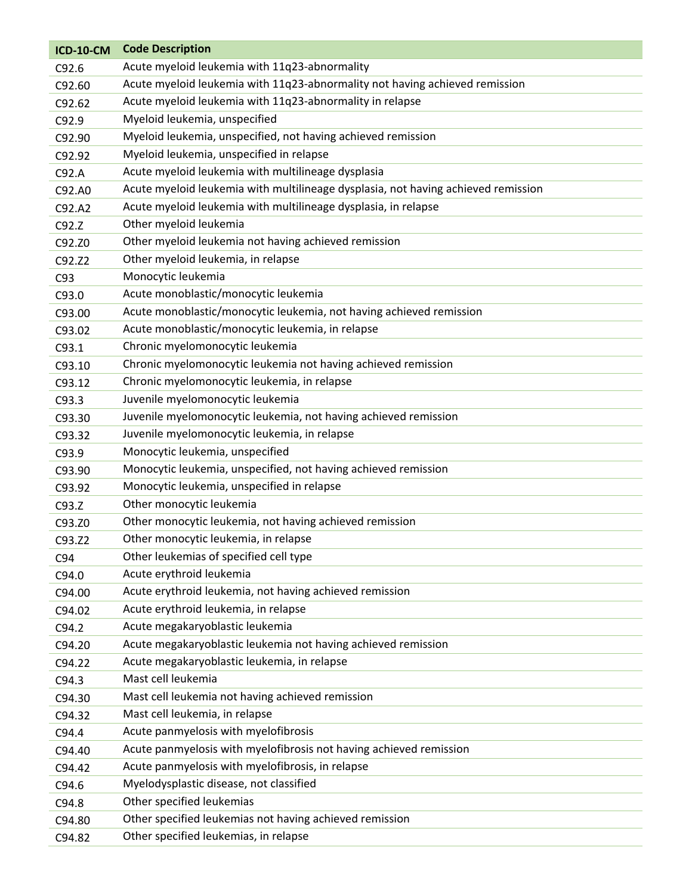| <b>ICD-10-CM</b> | <b>Code Description</b>                                                           |
|------------------|-----------------------------------------------------------------------------------|
| C92.6            | Acute myeloid leukemia with 11q23-abnormality                                     |
| C92.60           | Acute myeloid leukemia with 11q23-abnormality not having achieved remission       |
| C92.62           | Acute myeloid leukemia with 11q23-abnormality in relapse                          |
| C92.9            | Myeloid leukemia, unspecified                                                     |
| C92.90           | Myeloid leukemia, unspecified, not having achieved remission                      |
| C92.92           | Myeloid leukemia, unspecified in relapse                                          |
| C92.A            | Acute myeloid leukemia with multilineage dysplasia                                |
| C92.A0           | Acute myeloid leukemia with multilineage dysplasia, not having achieved remission |
| C92.A2           | Acute myeloid leukemia with multilineage dysplasia, in relapse                    |
| C92.Z            | Other myeloid leukemia                                                            |
| C92.Z0           | Other myeloid leukemia not having achieved remission                              |
| C92.Z2           | Other myeloid leukemia, in relapse                                                |
| C93              | Monocytic leukemia                                                                |
| C93.0            | Acute monoblastic/monocytic leukemia                                              |
| C93.00           | Acute monoblastic/monocytic leukemia, not having achieved remission               |
| C93.02           | Acute monoblastic/monocytic leukemia, in relapse                                  |
| C93.1            | Chronic myelomonocytic leukemia                                                   |
| C93.10           | Chronic myelomonocytic leukemia not having achieved remission                     |
| C93.12           | Chronic myelomonocytic leukemia, in relapse                                       |
| C93.3            | Juvenile myelomonocytic leukemia                                                  |
| C93.30           | Juvenile myelomonocytic leukemia, not having achieved remission                   |
| C93.32           | Juvenile myelomonocytic leukemia, in relapse                                      |
| C93.9            | Monocytic leukemia, unspecified                                                   |
| C93.90           | Monocytic leukemia, unspecified, not having achieved remission                    |
| C93.92           | Monocytic leukemia, unspecified in relapse                                        |
| C93.Z            | Other monocytic leukemia                                                          |
| C93.Z0           | Other monocytic leukemia, not having achieved remission                           |
| C93.Z2           | Other monocytic leukemia, in relapse                                              |
| C94              | Other leukemias of specified cell type                                            |
| C94.0            | Acute erythroid leukemia                                                          |
| C94.00           | Acute erythroid leukemia, not having achieved remission                           |
| C94.02           | Acute erythroid leukemia, in relapse                                              |
| C94.2            | Acute megakaryoblastic leukemia                                                   |
| C94.20           | Acute megakaryoblastic leukemia not having achieved remission                     |
| C94.22           | Acute megakaryoblastic leukemia, in relapse                                       |
| C94.3            | Mast cell leukemia                                                                |
| C94.30           | Mast cell leukemia not having achieved remission                                  |
| C94.32           | Mast cell leukemia, in relapse                                                    |
| C94.4            | Acute panmyelosis with myelofibrosis                                              |
| C94.40           | Acute panmyelosis with myelofibrosis not having achieved remission                |
| C94.42           | Acute panmyelosis with myelofibrosis, in relapse                                  |
| C94.6            | Myelodysplastic disease, not classified                                           |
| C94.8            | Other specified leukemias                                                         |
| C94.80           | Other specified leukemias not having achieved remission                           |
| C94.82           | Other specified leukemias, in relapse                                             |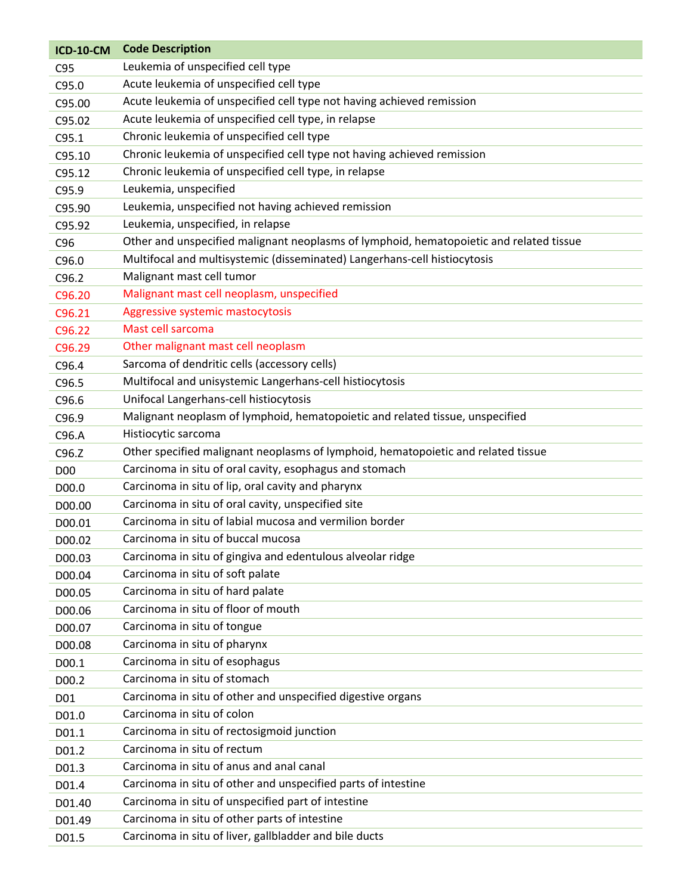| <b>ICD-10-CM</b> | <b>Code Description</b>                                                                 |
|------------------|-----------------------------------------------------------------------------------------|
| C95              | Leukemia of unspecified cell type                                                       |
| C95.0            | Acute leukemia of unspecified cell type                                                 |
| C95.00           | Acute leukemia of unspecified cell type not having achieved remission                   |
| C95.02           | Acute leukemia of unspecified cell type, in relapse                                     |
| C95.1            | Chronic leukemia of unspecified cell type                                               |
| C95.10           | Chronic leukemia of unspecified cell type not having achieved remission                 |
| C95.12           | Chronic leukemia of unspecified cell type, in relapse                                   |
| C95.9            | Leukemia, unspecified                                                                   |
| C95.90           | Leukemia, unspecified not having achieved remission                                     |
| C95.92           | Leukemia, unspecified, in relapse                                                       |
| C <sub>96</sub>  | Other and unspecified malignant neoplasms of lymphoid, hematopoietic and related tissue |
| C96.0            | Multifocal and multisystemic (disseminated) Langerhans-cell histiocytosis               |
| C96.2            | Malignant mast cell tumor                                                               |
| C96.20           | Malignant mast cell neoplasm, unspecified                                               |
| C96.21           | Aggressive systemic mastocytosis                                                        |
| C96.22           | Mast cell sarcoma                                                                       |
| C96.29           | Other malignant mast cell neoplasm                                                      |
| C96.4            | Sarcoma of dendritic cells (accessory cells)                                            |
| C96.5            | Multifocal and unisystemic Langerhans-cell histiocytosis                                |
| C96.6            | Unifocal Langerhans-cell histiocytosis                                                  |
| C96.9            | Malignant neoplasm of lymphoid, hematopoietic and related tissue, unspecified           |
| C96.A            | Histiocytic sarcoma                                                                     |
| C96.2            | Other specified malignant neoplasms of lymphoid, hematopoietic and related tissue       |
| <b>D00</b>       | Carcinoma in situ of oral cavity, esophagus and stomach                                 |
| D00.0            | Carcinoma in situ of lip, oral cavity and pharynx                                       |
| D00.00           | Carcinoma in situ of oral cavity, unspecified site                                      |
| D00.01           | Carcinoma in situ of labial mucosa and vermilion border                                 |
| D00.02           | Carcinoma in situ of buccal mucosa                                                      |
| D00.03           | Carcinoma in situ of gingiva and edentulous alveolar ridge                              |
| D00.04           | Carcinoma in situ of soft palate                                                        |
| D00.05           | Carcinoma in situ of hard palate                                                        |
| D00.06           | Carcinoma in situ of floor of mouth                                                     |
| D00.07           | Carcinoma in situ of tongue                                                             |
| D00.08           | Carcinoma in situ of pharynx                                                            |
| D00.1            | Carcinoma in situ of esophagus                                                          |
| D00.2            | Carcinoma in situ of stomach                                                            |
| D01              | Carcinoma in situ of other and unspecified digestive organs                             |
| D01.0            | Carcinoma in situ of colon                                                              |
| D01.1            | Carcinoma in situ of rectosigmoid junction                                              |
| D01.2            | Carcinoma in situ of rectum                                                             |
| D01.3            | Carcinoma in situ of anus and anal canal                                                |
| D01.4            | Carcinoma in situ of other and unspecified parts of intestine                           |
| D01.40           | Carcinoma in situ of unspecified part of intestine                                      |
| D01.49           | Carcinoma in situ of other parts of intestine                                           |
| D01.5            | Carcinoma in situ of liver, gallbladder and bile ducts                                  |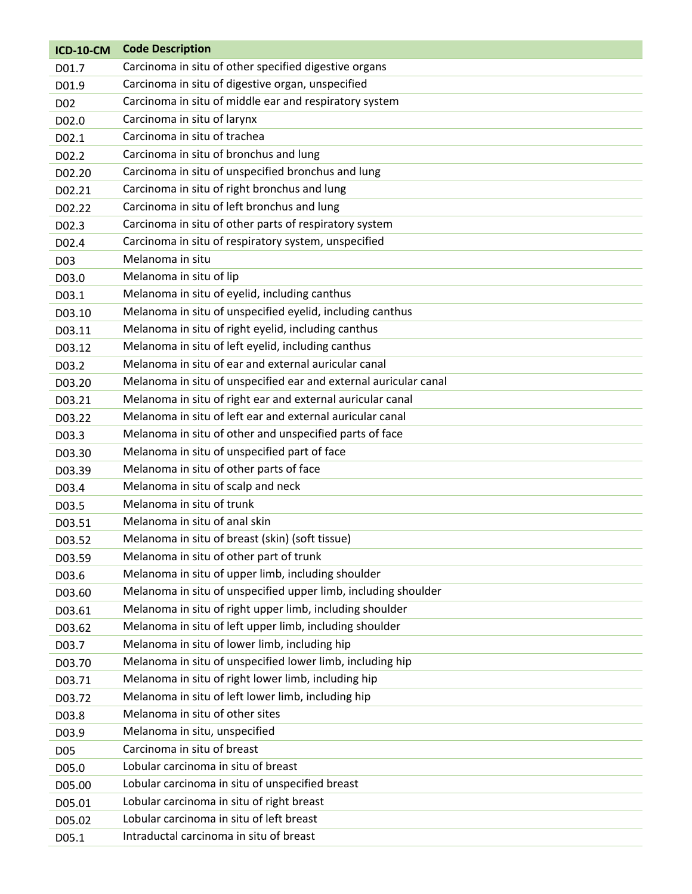| <b>ICD-10-CM</b> | <b>Code Description</b>                                          |
|------------------|------------------------------------------------------------------|
| D01.7            | Carcinoma in situ of other specified digestive organs            |
| D01.9            | Carcinoma in situ of digestive organ, unspecified                |
| D <sub>02</sub>  | Carcinoma in situ of middle ear and respiratory system           |
| D02.0            | Carcinoma in situ of larynx                                      |
| D02.1            | Carcinoma in situ of trachea                                     |
| D02.2            | Carcinoma in situ of bronchus and lung                           |
| D02.20           | Carcinoma in situ of unspecified bronchus and lung               |
| D02.21           | Carcinoma in situ of right bronchus and lung                     |
| D02.22           | Carcinoma in situ of left bronchus and lung                      |
| D02.3            | Carcinoma in situ of other parts of respiratory system           |
| D02.4            | Carcinoma in situ of respiratory system, unspecified             |
| D <sub>0</sub> 3 | Melanoma in situ                                                 |
| D03.0            | Melanoma in situ of lip                                          |
| D03.1            | Melanoma in situ of eyelid, including canthus                    |
| D03.10           | Melanoma in situ of unspecified eyelid, including canthus        |
| D03.11           | Melanoma in situ of right eyelid, including canthus              |
| D03.12           | Melanoma in situ of left eyelid, including canthus               |
| D03.2            | Melanoma in situ of ear and external auricular canal             |
| D03.20           | Melanoma in situ of unspecified ear and external auricular canal |
| D03.21           | Melanoma in situ of right ear and external auricular canal       |
| D03.22           | Melanoma in situ of left ear and external auricular canal        |
| D03.3            | Melanoma in situ of other and unspecified parts of face          |
| D03.30           | Melanoma in situ of unspecified part of face                     |
| D03.39           | Melanoma in situ of other parts of face                          |
| D03.4            | Melanoma in situ of scalp and neck                               |
| D03.5            | Melanoma in situ of trunk                                        |
| D03.51           | Melanoma in situ of anal skin                                    |
| D03.52           | Melanoma in situ of breast (skin) (soft tissue)                  |
| D03.59           | Melanoma in situ of other part of trunk                          |
| D03.6            | Melanoma in situ of upper limb, including shoulder               |
| D03.60           | Melanoma in situ of unspecified upper limb, including shoulder   |
| D03.61           | Melanoma in situ of right upper limb, including shoulder         |
| D03.62           | Melanoma in situ of left upper limb, including shoulder          |
| D03.7            | Melanoma in situ of lower limb, including hip                    |
| D03.70           | Melanoma in situ of unspecified lower limb, including hip        |
| D03.71           | Melanoma in situ of right lower limb, including hip              |
| D03.72           | Melanoma in situ of left lower limb, including hip               |
| D03.8            | Melanoma in situ of other sites                                  |
| D03.9            | Melanoma in situ, unspecified                                    |
| D <sub>05</sub>  | Carcinoma in situ of breast                                      |
| D05.0            | Lobular carcinoma in situ of breast                              |
| D05.00           | Lobular carcinoma in situ of unspecified breast                  |
| D05.01           | Lobular carcinoma in situ of right breast                        |
| D05.02           | Lobular carcinoma in situ of left breast                         |
| D05.1            | Intraductal carcinoma in situ of breast                          |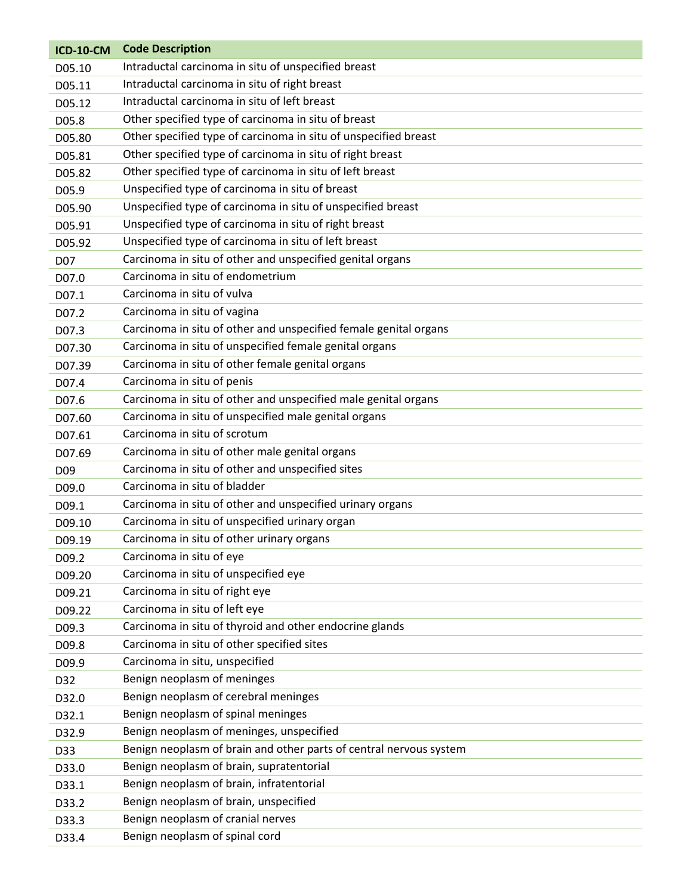| <b>ICD-10-CM</b> | <b>Code Description</b>                                            |
|------------------|--------------------------------------------------------------------|
| D05.10           | Intraductal carcinoma in situ of unspecified breast                |
| D05.11           | Intraductal carcinoma in situ of right breast                      |
| D05.12           | Intraductal carcinoma in situ of left breast                       |
| D05.8            | Other specified type of carcinoma in situ of breast                |
| D05.80           | Other specified type of carcinoma in situ of unspecified breast    |
| D05.81           | Other specified type of carcinoma in situ of right breast          |
| D05.82           | Other specified type of carcinoma in situ of left breast           |
| D05.9            | Unspecified type of carcinoma in situ of breast                    |
| D05.90           | Unspecified type of carcinoma in situ of unspecified breast        |
| D05.91           | Unspecified type of carcinoma in situ of right breast              |
| D05.92           | Unspecified type of carcinoma in situ of left breast               |
| D07              | Carcinoma in situ of other and unspecified genital organs          |
| D07.0            | Carcinoma in situ of endometrium                                   |
| D07.1            | Carcinoma in situ of vulva                                         |
| D07.2            | Carcinoma in situ of vagina                                        |
| D07.3            | Carcinoma in situ of other and unspecified female genital organs   |
| D07.30           | Carcinoma in situ of unspecified female genital organs             |
| D07.39           | Carcinoma in situ of other female genital organs                   |
| D07.4            | Carcinoma in situ of penis                                         |
| D07.6            | Carcinoma in situ of other and unspecified male genital organs     |
| D07.60           | Carcinoma in situ of unspecified male genital organs               |
| D07.61           | Carcinoma in situ of scrotum                                       |
| D07.69           | Carcinoma in situ of other male genital organs                     |
| D <sub>09</sub>  | Carcinoma in situ of other and unspecified sites                   |
| D09.0            | Carcinoma in situ of bladder                                       |
| D09.1            | Carcinoma in situ of other and unspecified urinary organs          |
| D09.10           | Carcinoma in situ of unspecified urinary organ                     |
| D09.19           | Carcinoma in situ of other urinary organs                          |
| D09.2            | Carcinoma in situ of eye                                           |
| D09.20           | Carcinoma in situ of unspecified eye                               |
| D09.21           | Carcinoma in situ of right eye                                     |
| D09.22           | Carcinoma in situ of left eye                                      |
| D09.3            | Carcinoma in situ of thyroid and other endocrine glands            |
| D09.8            | Carcinoma in situ of other specified sites                         |
| D09.9            | Carcinoma in situ, unspecified                                     |
| D32              | Benign neoplasm of meninges                                        |
| D32.0            | Benign neoplasm of cerebral meninges                               |
| D32.1            | Benign neoplasm of spinal meninges                                 |
| D32.9            | Benign neoplasm of meninges, unspecified                           |
| D33              | Benign neoplasm of brain and other parts of central nervous system |
| D33.0            | Benign neoplasm of brain, supratentorial                           |
| D33.1            | Benign neoplasm of brain, infratentorial                           |
| D33.2            | Benign neoplasm of brain, unspecified                              |
| D33.3            | Benign neoplasm of cranial nerves                                  |
| D33.4            | Benign neoplasm of spinal cord                                     |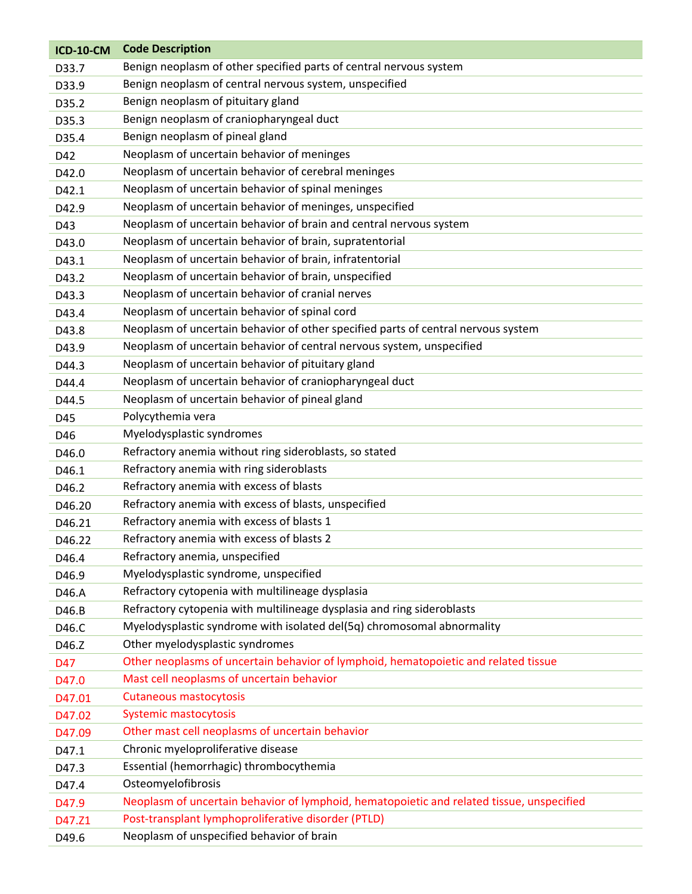| Benign neoplasm of other specified parts of central nervous system<br>D33.7<br>Benign neoplasm of central nervous system, unspecified<br>D33.9<br>Benign neoplasm of pituitary gland<br>D35.2<br>Benign neoplasm of craniopharyngeal duct<br>D35.3<br>Benign neoplasm of pineal gland<br>D35.4<br>Neoplasm of uncertain behavior of meninges<br>D42<br>Neoplasm of uncertain behavior of cerebral meninges<br>D42.0<br>Neoplasm of uncertain behavior of spinal meninges<br>D42.1<br>Neoplasm of uncertain behavior of meninges, unspecified<br>D42.9<br>Neoplasm of uncertain behavior of brain and central nervous system<br>D43<br>Neoplasm of uncertain behavior of brain, supratentorial<br>D43.0<br>Neoplasm of uncertain behavior of brain, infratentorial<br>D43.1<br>Neoplasm of uncertain behavior of brain, unspecified<br>D43.2<br>Neoplasm of uncertain behavior of cranial nerves<br>D43.3<br>Neoplasm of uncertain behavior of spinal cord<br>D43.4<br>Neoplasm of uncertain behavior of other specified parts of central nervous system<br>D43.8<br>Neoplasm of uncertain behavior of central nervous system, unspecified<br>D43.9 |
|----------------------------------------------------------------------------------------------------------------------------------------------------------------------------------------------------------------------------------------------------------------------------------------------------------------------------------------------------------------------------------------------------------------------------------------------------------------------------------------------------------------------------------------------------------------------------------------------------------------------------------------------------------------------------------------------------------------------------------------------------------------------------------------------------------------------------------------------------------------------------------------------------------------------------------------------------------------------------------------------------------------------------------------------------------------------------------------------------------------------------------------------------|
|                                                                                                                                                                                                                                                                                                                                                                                                                                                                                                                                                                                                                                                                                                                                                                                                                                                                                                                                                                                                                                                                                                                                                    |
|                                                                                                                                                                                                                                                                                                                                                                                                                                                                                                                                                                                                                                                                                                                                                                                                                                                                                                                                                                                                                                                                                                                                                    |
|                                                                                                                                                                                                                                                                                                                                                                                                                                                                                                                                                                                                                                                                                                                                                                                                                                                                                                                                                                                                                                                                                                                                                    |
|                                                                                                                                                                                                                                                                                                                                                                                                                                                                                                                                                                                                                                                                                                                                                                                                                                                                                                                                                                                                                                                                                                                                                    |
|                                                                                                                                                                                                                                                                                                                                                                                                                                                                                                                                                                                                                                                                                                                                                                                                                                                                                                                                                                                                                                                                                                                                                    |
|                                                                                                                                                                                                                                                                                                                                                                                                                                                                                                                                                                                                                                                                                                                                                                                                                                                                                                                                                                                                                                                                                                                                                    |
|                                                                                                                                                                                                                                                                                                                                                                                                                                                                                                                                                                                                                                                                                                                                                                                                                                                                                                                                                                                                                                                                                                                                                    |
|                                                                                                                                                                                                                                                                                                                                                                                                                                                                                                                                                                                                                                                                                                                                                                                                                                                                                                                                                                                                                                                                                                                                                    |
|                                                                                                                                                                                                                                                                                                                                                                                                                                                                                                                                                                                                                                                                                                                                                                                                                                                                                                                                                                                                                                                                                                                                                    |
|                                                                                                                                                                                                                                                                                                                                                                                                                                                                                                                                                                                                                                                                                                                                                                                                                                                                                                                                                                                                                                                                                                                                                    |
|                                                                                                                                                                                                                                                                                                                                                                                                                                                                                                                                                                                                                                                                                                                                                                                                                                                                                                                                                                                                                                                                                                                                                    |
|                                                                                                                                                                                                                                                                                                                                                                                                                                                                                                                                                                                                                                                                                                                                                                                                                                                                                                                                                                                                                                                                                                                                                    |
|                                                                                                                                                                                                                                                                                                                                                                                                                                                                                                                                                                                                                                                                                                                                                                                                                                                                                                                                                                                                                                                                                                                                                    |
|                                                                                                                                                                                                                                                                                                                                                                                                                                                                                                                                                                                                                                                                                                                                                                                                                                                                                                                                                                                                                                                                                                                                                    |
|                                                                                                                                                                                                                                                                                                                                                                                                                                                                                                                                                                                                                                                                                                                                                                                                                                                                                                                                                                                                                                                                                                                                                    |
|                                                                                                                                                                                                                                                                                                                                                                                                                                                                                                                                                                                                                                                                                                                                                                                                                                                                                                                                                                                                                                                                                                                                                    |
|                                                                                                                                                                                                                                                                                                                                                                                                                                                                                                                                                                                                                                                                                                                                                                                                                                                                                                                                                                                                                                                                                                                                                    |
| Neoplasm of uncertain behavior of pituitary gland<br>D44.3                                                                                                                                                                                                                                                                                                                                                                                                                                                                                                                                                                                                                                                                                                                                                                                                                                                                                                                                                                                                                                                                                         |
| Neoplasm of uncertain behavior of craniopharyngeal duct<br>D44.4                                                                                                                                                                                                                                                                                                                                                                                                                                                                                                                                                                                                                                                                                                                                                                                                                                                                                                                                                                                                                                                                                   |
| Neoplasm of uncertain behavior of pineal gland<br>D44.5                                                                                                                                                                                                                                                                                                                                                                                                                                                                                                                                                                                                                                                                                                                                                                                                                                                                                                                                                                                                                                                                                            |
| Polycythemia vera<br>D45                                                                                                                                                                                                                                                                                                                                                                                                                                                                                                                                                                                                                                                                                                                                                                                                                                                                                                                                                                                                                                                                                                                           |
| Myelodysplastic syndromes<br>D46                                                                                                                                                                                                                                                                                                                                                                                                                                                                                                                                                                                                                                                                                                                                                                                                                                                                                                                                                                                                                                                                                                                   |
| Refractory anemia without ring sideroblasts, so stated<br>D46.0                                                                                                                                                                                                                                                                                                                                                                                                                                                                                                                                                                                                                                                                                                                                                                                                                                                                                                                                                                                                                                                                                    |
| Refractory anemia with ring sideroblasts<br>D46.1                                                                                                                                                                                                                                                                                                                                                                                                                                                                                                                                                                                                                                                                                                                                                                                                                                                                                                                                                                                                                                                                                                  |
| Refractory anemia with excess of blasts<br>D46.2                                                                                                                                                                                                                                                                                                                                                                                                                                                                                                                                                                                                                                                                                                                                                                                                                                                                                                                                                                                                                                                                                                   |
| Refractory anemia with excess of blasts, unspecified<br>D46.20                                                                                                                                                                                                                                                                                                                                                                                                                                                                                                                                                                                                                                                                                                                                                                                                                                                                                                                                                                                                                                                                                     |
| Refractory anemia with excess of blasts 1<br>D46.21                                                                                                                                                                                                                                                                                                                                                                                                                                                                                                                                                                                                                                                                                                                                                                                                                                                                                                                                                                                                                                                                                                |
| Refractory anemia with excess of blasts 2<br>D46.22                                                                                                                                                                                                                                                                                                                                                                                                                                                                                                                                                                                                                                                                                                                                                                                                                                                                                                                                                                                                                                                                                                |
| Refractory anemia, unspecified<br>D46.4                                                                                                                                                                                                                                                                                                                                                                                                                                                                                                                                                                                                                                                                                                                                                                                                                                                                                                                                                                                                                                                                                                            |
| Myelodysplastic syndrome, unspecified<br>D46.9                                                                                                                                                                                                                                                                                                                                                                                                                                                                                                                                                                                                                                                                                                                                                                                                                                                                                                                                                                                                                                                                                                     |
| Refractory cytopenia with multilineage dysplasia<br>D46.A                                                                                                                                                                                                                                                                                                                                                                                                                                                                                                                                                                                                                                                                                                                                                                                                                                                                                                                                                                                                                                                                                          |
| Refractory cytopenia with multilineage dysplasia and ring sideroblasts<br>D46.B                                                                                                                                                                                                                                                                                                                                                                                                                                                                                                                                                                                                                                                                                                                                                                                                                                                                                                                                                                                                                                                                    |
| Myelodysplastic syndrome with isolated del(5q) chromosomal abnormality<br>D46.C                                                                                                                                                                                                                                                                                                                                                                                                                                                                                                                                                                                                                                                                                                                                                                                                                                                                                                                                                                                                                                                                    |
| Other myelodysplastic syndromes<br>D46.Z                                                                                                                                                                                                                                                                                                                                                                                                                                                                                                                                                                                                                                                                                                                                                                                                                                                                                                                                                                                                                                                                                                           |
| Other neoplasms of uncertain behavior of lymphoid, hematopoietic and related tissue<br>D47                                                                                                                                                                                                                                                                                                                                                                                                                                                                                                                                                                                                                                                                                                                                                                                                                                                                                                                                                                                                                                                         |
| Mast cell neoplasms of uncertain behavior<br>D47.0                                                                                                                                                                                                                                                                                                                                                                                                                                                                                                                                                                                                                                                                                                                                                                                                                                                                                                                                                                                                                                                                                                 |
| <b>Cutaneous mastocytosis</b><br>D47.01                                                                                                                                                                                                                                                                                                                                                                                                                                                                                                                                                                                                                                                                                                                                                                                                                                                                                                                                                                                                                                                                                                            |
| <b>Systemic mastocytosis</b><br>D47.02                                                                                                                                                                                                                                                                                                                                                                                                                                                                                                                                                                                                                                                                                                                                                                                                                                                                                                                                                                                                                                                                                                             |
| Other mast cell neoplasms of uncertain behavior<br>D47.09                                                                                                                                                                                                                                                                                                                                                                                                                                                                                                                                                                                                                                                                                                                                                                                                                                                                                                                                                                                                                                                                                          |
| Chronic myeloproliferative disease<br>D47.1                                                                                                                                                                                                                                                                                                                                                                                                                                                                                                                                                                                                                                                                                                                                                                                                                                                                                                                                                                                                                                                                                                        |
| Essential (hemorrhagic) thrombocythemia<br>D47.3                                                                                                                                                                                                                                                                                                                                                                                                                                                                                                                                                                                                                                                                                                                                                                                                                                                                                                                                                                                                                                                                                                   |
| Osteomyelofibrosis<br>D47.4                                                                                                                                                                                                                                                                                                                                                                                                                                                                                                                                                                                                                                                                                                                                                                                                                                                                                                                                                                                                                                                                                                                        |
| Neoplasm of uncertain behavior of lymphoid, hematopoietic and related tissue, unspecified<br>D47.9                                                                                                                                                                                                                                                                                                                                                                                                                                                                                                                                                                                                                                                                                                                                                                                                                                                                                                                                                                                                                                                 |
| Post-transplant lymphoproliferative disorder (PTLD)<br>D47.Z1                                                                                                                                                                                                                                                                                                                                                                                                                                                                                                                                                                                                                                                                                                                                                                                                                                                                                                                                                                                                                                                                                      |
| Neoplasm of unspecified behavior of brain<br>D49.6                                                                                                                                                                                                                                                                                                                                                                                                                                                                                                                                                                                                                                                                                                                                                                                                                                                                                                                                                                                                                                                                                                 |